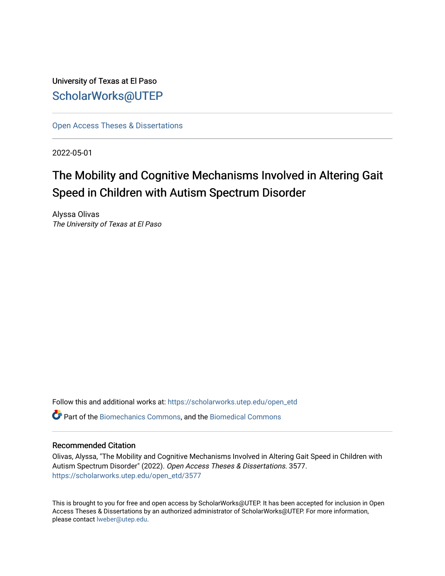University of Texas at El Paso [ScholarWorks@UTEP](https://scholarworks.utep.edu/)

[Open Access Theses & Dissertations](https://scholarworks.utep.edu/open_etd) 

2022-05-01

# The Mobility and Cognitive Mechanisms Involved in Altering Gait Speed in Children with Autism Spectrum Disorder

Alyssa Olivas The University of Texas at El Paso

Follow this and additional works at: [https://scholarworks.utep.edu/open\\_etd](https://scholarworks.utep.edu/open_etd?utm_source=scholarworks.utep.edu%2Fopen_etd%2F3577&utm_medium=PDF&utm_campaign=PDFCoverPages) Part of the [Biomechanics Commons,](https://network.bepress.com/hgg/discipline/43?utm_source=scholarworks.utep.edu%2Fopen_etd%2F3577&utm_medium=PDF&utm_campaign=PDFCoverPages) and the [Biomedical Commons](https://network.bepress.com/hgg/discipline/267?utm_source=scholarworks.utep.edu%2Fopen_etd%2F3577&utm_medium=PDF&utm_campaign=PDFCoverPages) 

## Recommended Citation

Olivas, Alyssa, "The Mobility and Cognitive Mechanisms Involved in Altering Gait Speed in Children with Autism Spectrum Disorder" (2022). Open Access Theses & Dissertations. 3577. [https://scholarworks.utep.edu/open\\_etd/3577](https://scholarworks.utep.edu/open_etd/3577?utm_source=scholarworks.utep.edu%2Fopen_etd%2F3577&utm_medium=PDF&utm_campaign=PDFCoverPages) 

This is brought to you for free and open access by ScholarWorks@UTEP. It has been accepted for inclusion in Open Access Theses & Dissertations by an authorized administrator of ScholarWorks@UTEP. For more information, please contact [lweber@utep.edu.](mailto:lweber@utep.edu)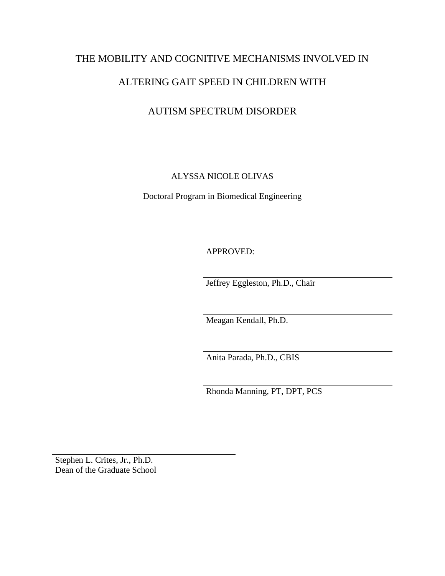# THE MOBILITY AND COGNITIVE MECHANISMS INVOLVED IN

# ALTERING GAIT SPEED IN CHILDREN WITH

# AUTISM SPECTRUM DISORDER

# ALYSSA NICOLE OLIVAS

Doctoral Program in Biomedical Engineering

APPROVED:

Jeffrey Eggleston, Ph.D., Chair

Meagan Kendall, Ph.D.

Anita Parada, Ph.D., CBIS

Rhonda Manning, PT, DPT, PCS

Stephen L. Crites, Jr., Ph.D. Dean of the Graduate School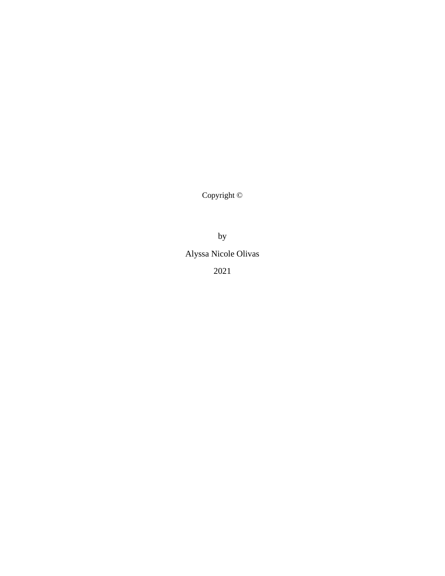Copyright ©

by

Alyssa Nicole Olivas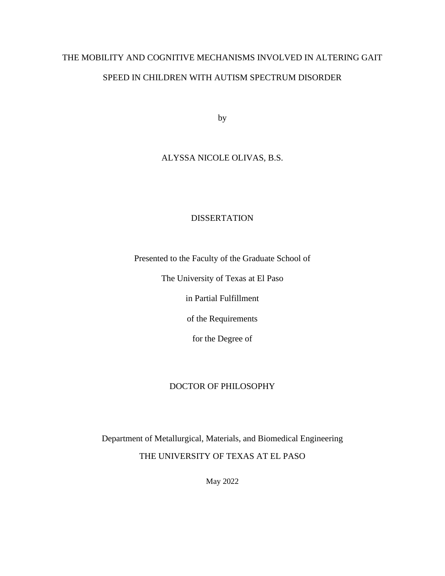# THE MOBILITY AND COGNITIVE MECHANISMS INVOLVED IN ALTERING GAIT SPEED IN CHILDREN WITH AUTISM SPECTRUM DISORDER

by

# ALYSSA NICOLE OLIVAS, B.S.

# **DISSERTATION**

Presented to the Faculty of the Graduate School of

The University of Texas at El Paso

in Partial Fulfillment

of the Requirements

for the Degree of

# DOCTOR OF PHILOSOPHY

Department of Metallurgical, Materials, and Biomedical Engineering THE UNIVERSITY OF TEXAS AT EL PASO

May 2022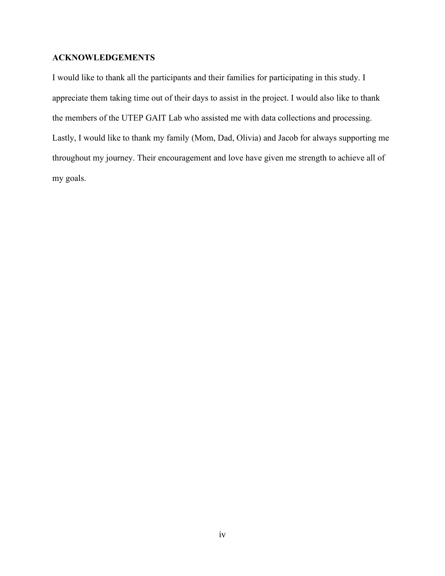# **ACKNOWLEDGEMENTS**

I would like to thank all the participants and their families for participating in this study. I appreciate them taking time out of their days to assist in the project. I would also like to thank the members of the UTEP GAIT Lab who assisted me with data collections and processing. Lastly, I would like to thank my family (Mom, Dad, Olivia) and Jacob for always supporting me throughout my journey. Their encouragement and love have given me strength to achieve all of my goals.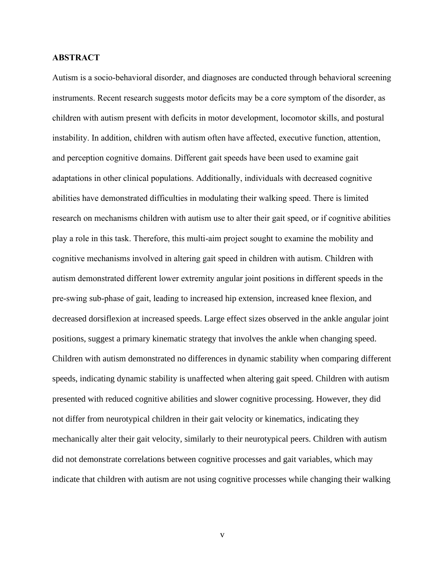# **ABSTRACT**

Autism is a socio-behavioral disorder, and diagnoses are conducted through behavioral screening instruments. Recent research suggests motor deficits may be a core symptom of the disorder, as children with autism present with deficits in motor development, locomotor skills, and postural instability. In addition, children with autism often have affected, executive function, attention, and perception cognitive domains. Different gait speeds have been used to examine gait adaptations in other clinical populations. Additionally, individuals with decreased cognitive abilities have demonstrated difficulties in modulating their walking speed. There is limited research on mechanisms children with autism use to alter their gait speed, or if cognitive abilities play a role in this task. Therefore, this multi-aim project sought to examine the mobility and cognitive mechanisms involved in altering gait speed in children with autism. Children with autism demonstrated different lower extremity angular joint positions in different speeds in the pre-swing sub-phase of gait, leading to increased hip extension, increased knee flexion, and decreased dorsiflexion at increased speeds. Large effect sizes observed in the ankle angular joint positions, suggest a primary kinematic strategy that involves the ankle when changing speed. Children with autism demonstrated no differences in dynamic stability when comparing different speeds, indicating dynamic stability is unaffected when altering gait speed. Children with autism presented with reduced cognitive abilities and slower cognitive processing. However, they did not differ from neurotypical children in their gait velocity or kinematics, indicating they mechanically alter their gait velocity, similarly to their neurotypical peers. Children with autism did not demonstrate correlations between cognitive processes and gait variables, which may indicate that children with autism are not using cognitive processes while changing their walking

v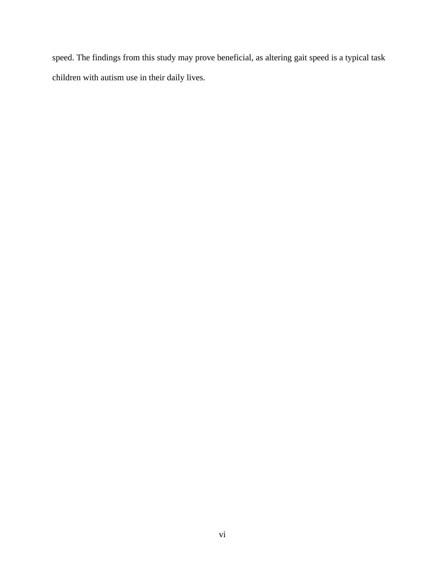speed. The findings from this study may prove beneficial, as altering gait speed is a typical task children with autism use in their daily lives.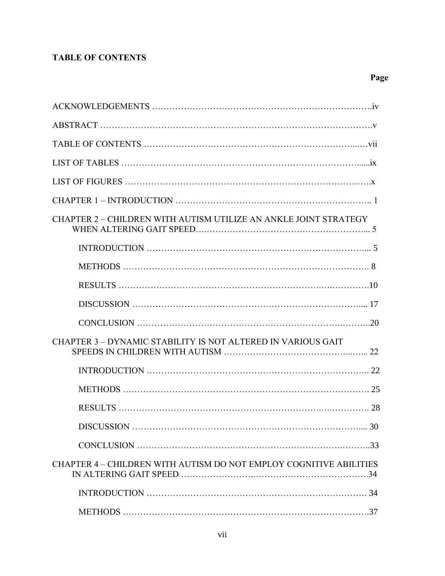# **TABLE OF CONTENTS**

| CHAPTER 2 – CHILDREN WITH AUTISM UTILIZE AN ANKLE JOINT STRATEGY   |
|--------------------------------------------------------------------|
|                                                                    |
|                                                                    |
|                                                                    |
|                                                                    |
|                                                                    |
| CHAPTER 3 - DYNAMIC STABILITY IS NOT ALTERED IN VARIOUS GAIT       |
|                                                                    |
|                                                                    |
|                                                                    |
| DISCUSSION<br>.30                                                  |
|                                                                    |
| CHAPTER 4 – CHILDREN WITH AUTISM DO NOT EMPLOY COGNITIVE ABILITIES |
|                                                                    |
|                                                                    |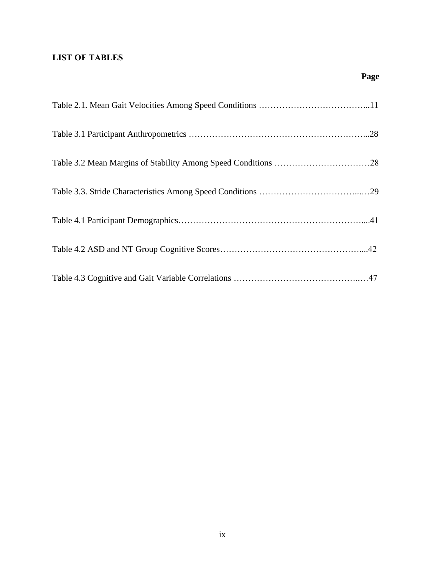# **LIST OF TABLES**

 **Page**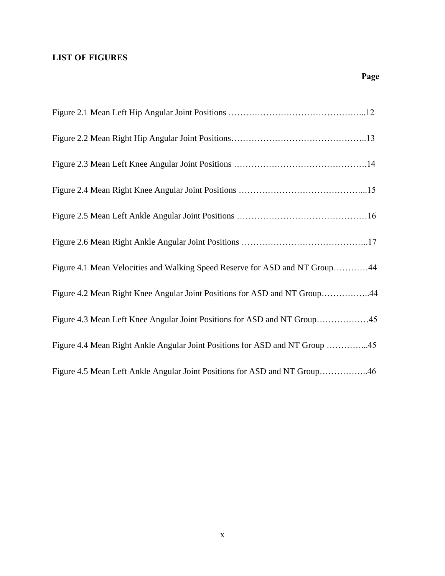# **LIST OF FIGURES**

| Figure 4.1 Mean Velocities and Walking Speed Reserve for ASD and NT Group44 |
|-----------------------------------------------------------------------------|
| Figure 4.2 Mean Right Knee Angular Joint Positions for ASD and NT Group44   |
| Figure 4.3 Mean Left Knee Angular Joint Positions for ASD and NT Group45    |
| Figure 4.4 Mean Right Ankle Angular Joint Positions for ASD and NT Group 45 |
| Figure 4.5 Mean Left Ankle Angular Joint Positions for ASD and NT Group46   |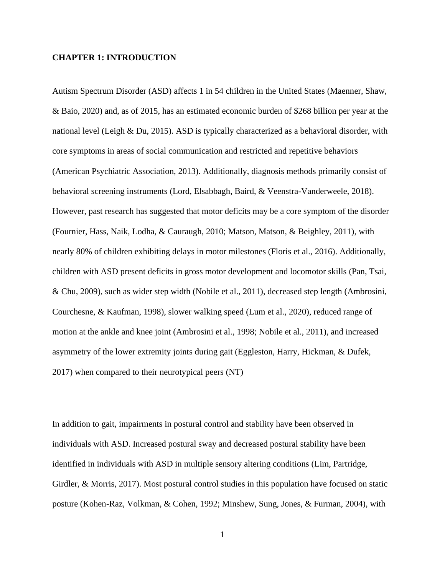## **CHAPTER 1: INTRODUCTION**

Autism Spectrum Disorder (ASD) affects 1 in 54 children in the United States (Maenner, Shaw, & Baio, 2020) and, as of 2015, has an estimated economic burden of \$268 billion per year at the national level (Leigh & Du, 2015). ASD is typically characterized as a behavioral disorder, with core symptoms in areas of social communication and restricted and repetitive behaviors (American Psychiatric Association, 2013). Additionally, diagnosis methods primarily consist of behavioral screening instruments (Lord, Elsabbagh, Baird, & Veenstra-Vanderweele, 2018). However, past research has suggested that motor deficits may be a core symptom of the disorder (Fournier, Hass, Naik, Lodha, & Cauraugh, 2010; Matson, Matson, & Beighley, 2011), with nearly 80% of children exhibiting delays in motor milestones (Floris et al., 2016). Additionally, children with ASD present deficits in gross motor development and locomotor skills (Pan, Tsai, & Chu, 2009), such as wider step width (Nobile et al., 2011), decreased step length (Ambrosini, Courchesne, & Kaufman, 1998), slower walking speed (Lum et al., 2020), reduced range of motion at the ankle and knee joint (Ambrosini et al., 1998; Nobile et al., 2011), and increased asymmetry of the lower extremity joints during gait (Eggleston, Harry, Hickman, & Dufek, 2017) when compared to their neurotypical peers (NT)

In addition to gait, impairments in postural control and stability have been observed in individuals with ASD. Increased postural sway and decreased postural stability have been identified in individuals with ASD in multiple sensory altering conditions (Lim, Partridge, Girdler, & Morris, 2017). Most postural control studies in this population have focused on static posture (Kohen-Raz, Volkman, & Cohen, 1992; Minshew, Sung, Jones, & Furman, 2004), with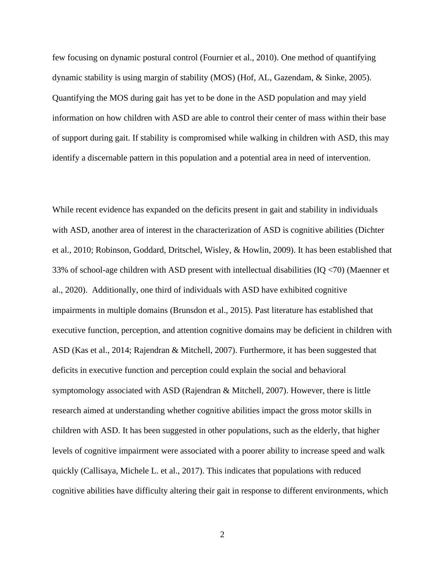few focusing on dynamic postural control (Fournier et al., 2010). One method of quantifying dynamic stability is using margin of stability (MOS) (Hof, AL, Gazendam, & Sinke, 2005). Quantifying the MOS during gait has yet to be done in the ASD population and may yield information on how children with ASD are able to control their center of mass within their base of support during gait. If stability is compromised while walking in children with ASD, this may identify a discernable pattern in this population and a potential area in need of intervention.

While recent evidence has expanded on the deficits present in gait and stability in individuals with ASD, another area of interest in the characterization of ASD is cognitive abilities (Dichter et al., 2010; Robinson, Goddard, Dritschel, Wisley, & Howlin, 2009). It has been established that 33% of school-age children with ASD present with intellectual disabilities (IQ <70) (Maenner et al., 2020). Additionally, one third of individuals with ASD have exhibited cognitive impairments in multiple domains (Brunsdon et al., 2015). Past literature has established that executive function, perception, and attention cognitive domains may be deficient in children with ASD (Kas et al., 2014; Rajendran & Mitchell, 2007). Furthermore, it has been suggested that deficits in executive function and perception could explain the social and behavioral symptomology associated with ASD (Rajendran & Mitchell, 2007). However, there is little research aimed at understanding whether cognitive abilities impact the gross motor skills in children with ASD. It has been suggested in other populations, such as the elderly, that higher levels of cognitive impairment were associated with a poorer ability to increase speed and walk quickly (Callisaya, Michele L. et al., 2017). This indicates that populations with reduced cognitive abilities have difficulty altering their gait in response to different environments, which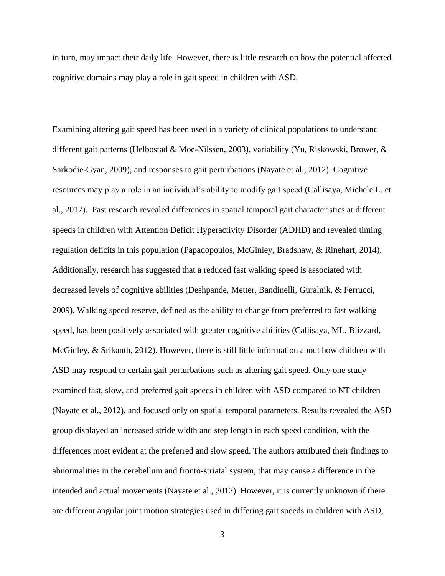in turn, may impact their daily life. However, there is little research on how the potential affected cognitive domains may play a role in gait speed in children with ASD.

Examining altering gait speed has been used in a variety of clinical populations to understand different gait patterns (Helbostad & Moe-Nilssen, 2003), variability (Yu, Riskowski, Brower, & Sarkodie-Gyan, 2009), and responses to gait perturbations (Nayate et al., 2012). Cognitive resources may play a role in an individual's ability to modify gait speed (Callisaya, Michele L. et al., 2017). Past research revealed differences in spatial temporal gait characteristics at different speeds in children with Attention Deficit Hyperactivity Disorder (ADHD) and revealed timing regulation deficits in this population (Papadopoulos, McGinley, Bradshaw, & Rinehart, 2014). Additionally, research has suggested that a reduced fast walking speed is associated with decreased levels of cognitive abilities (Deshpande, Metter, Bandinelli, Guralnik, & Ferrucci, 2009). Walking speed reserve, defined as the ability to change from preferred to fast walking speed, has been positively associated with greater cognitive abilities (Callisaya, ML, Blizzard, McGinley, & Srikanth, 2012). However, there is still little information about how children with ASD may respond to certain gait perturbations such as altering gait speed. Only one study examined fast, slow, and preferred gait speeds in children with ASD compared to NT children (Nayate et al., 2012), and focused only on spatial temporal parameters. Results revealed the ASD group displayed an increased stride width and step length in each speed condition, with the differences most evident at the preferred and slow speed. The authors attributed their findings to abnormalities in the cerebellum and fronto-striatal system, that may cause a difference in the intended and actual movements (Nayate et al., 2012). However, it is currently unknown if there are different angular joint motion strategies used in differing gait speeds in children with ASD,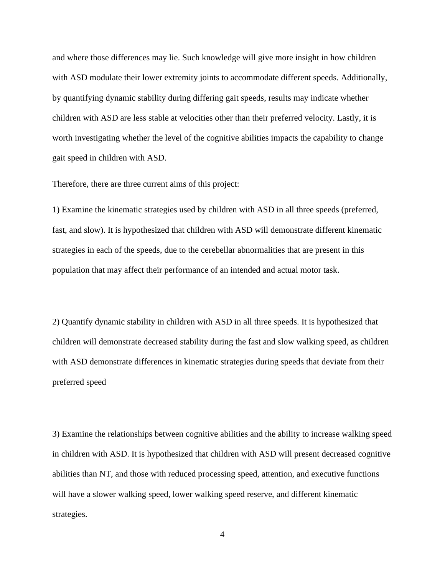and where those differences may lie. Such knowledge will give more insight in how children with ASD modulate their lower extremity joints to accommodate different speeds. Additionally, by quantifying dynamic stability during differing gait speeds, results may indicate whether children with ASD are less stable at velocities other than their preferred velocity. Lastly, it is worth investigating whether the level of the cognitive abilities impacts the capability to change gait speed in children with ASD.

Therefore, there are three current aims of this project:

1) Examine the kinematic strategies used by children with ASD in all three speeds (preferred, fast, and slow). It is hypothesized that children with ASD will demonstrate different kinematic strategies in each of the speeds, due to the cerebellar abnormalities that are present in this population that may affect their performance of an intended and actual motor task.

2) Quantify dynamic stability in children with ASD in all three speeds. It is hypothesized that children will demonstrate decreased stability during the fast and slow walking speed, as children with ASD demonstrate differences in kinematic strategies during speeds that deviate from their preferred speed

3) Examine the relationships between cognitive abilities and the ability to increase walking speed in children with ASD. It is hypothesized that children with ASD will present decreased cognitive abilities than NT, and those with reduced processing speed, attention, and executive functions will have a slower walking speed, lower walking speed reserve, and different kinematic strategies.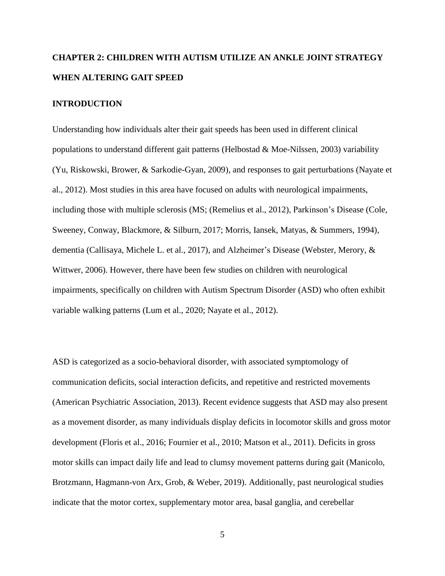# **CHAPTER 2: CHILDREN WITH AUTISM UTILIZE AN ANKLE JOINT STRATEGY WHEN ALTERING GAIT SPEED**

## **INTRODUCTION**

Understanding how individuals alter their gait speeds has been used in different clinical populations to understand different gait patterns (Helbostad & Moe-Nilssen, 2003) variability (Yu, Riskowski, Brower, & Sarkodie-Gyan, 2009), and responses to gait perturbations (Nayate et al., 2012). Most studies in this area have focused on adults with neurological impairments, including those with multiple sclerosis (MS; (Remelius et al., 2012), Parkinson's Disease (Cole, Sweeney, Conway, Blackmore, & Silburn, 2017; Morris, Iansek, Matyas, & Summers, 1994), dementia (Callisaya, Michele L. et al., 2017), and Alzheimer's Disease (Webster, Merory, & Wittwer, 2006). However, there have been few studies on children with neurological impairments, specifically on children with Autism Spectrum Disorder (ASD) who often exhibit variable walking patterns (Lum et al., 2020; Nayate et al., 2012).

ASD is categorized as a socio-behavioral disorder, with associated symptomology of communication deficits, social interaction deficits, and repetitive and restricted movements (American Psychiatric Association, 2013). Recent evidence suggests that ASD may also present as a movement disorder, as many individuals display deficits in locomotor skills and gross motor development (Floris et al., 2016; Fournier et al., 2010; Matson et al., 2011). Deficits in gross motor skills can impact daily life and lead to clumsy movement patterns during gait (Manicolo, Brotzmann, Hagmann-von Arx, Grob, & Weber, 2019). Additionally, past neurological studies indicate that the motor cortex, supplementary motor area, basal ganglia, and cerebellar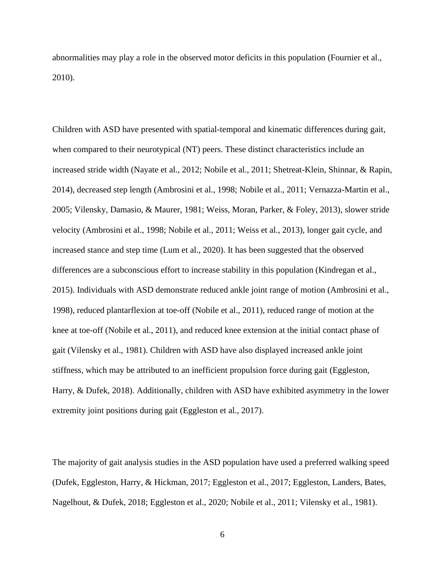abnormalities may play a role in the observed motor deficits in this population (Fournier et al., 2010).

Children with ASD have presented with spatial-temporal and kinematic differences during gait, when compared to their neurotypical (NT) peers. These distinct characteristics include an increased stride width (Nayate et al., 2012; Nobile et al., 2011; Shetreat-Klein, Shinnar, & Rapin, 2014), decreased step length (Ambrosini et al., 1998; Nobile et al., 2011; Vernazza-Martin et al., 2005; Vilensky, Damasio, & Maurer, 1981; Weiss, Moran, Parker, & Foley, 2013), slower stride velocity (Ambrosini et al., 1998; Nobile et al., 2011; Weiss et al., 2013), longer gait cycle, and increased stance and step time (Lum et al., 2020). It has been suggested that the observed differences are a subconscious effort to increase stability in this population (Kindregan et al., 2015). Individuals with ASD demonstrate reduced ankle joint range of motion (Ambrosini et al., 1998), reduced plantarflexion at toe-off (Nobile et al., 2011), reduced range of motion at the knee at toe-off (Nobile et al., 2011), and reduced knee extension at the initial contact phase of gait (Vilensky et al., 1981). Children with ASD have also displayed increased ankle joint stiffness, which may be attributed to an inefficient propulsion force during gait (Eggleston, Harry, & Dufek, 2018). Additionally, children with ASD have exhibited asymmetry in the lower extremity joint positions during gait (Eggleston et al., 2017).

The majority of gait analysis studies in the ASD population have used a preferred walking speed (Dufek, Eggleston, Harry, & Hickman, 2017; Eggleston et al., 2017; Eggleston, Landers, Bates, Nagelhout, & Dufek, 2018; Eggleston et al., 2020; Nobile et al., 2011; Vilensky et al., 1981).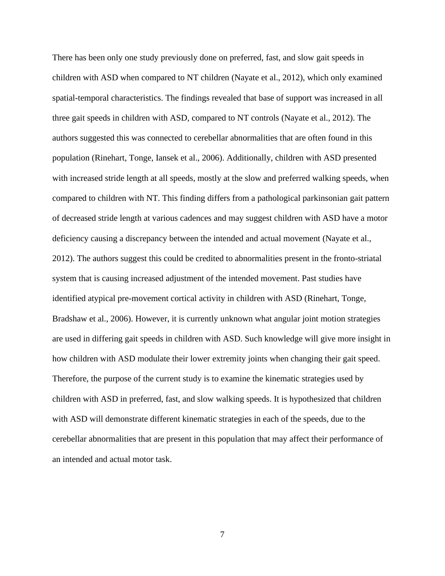There has been only one study previously done on preferred, fast, and slow gait speeds in children with ASD when compared to NT children (Nayate et al., 2012), which only examined spatial-temporal characteristics. The findings revealed that base of support was increased in all three gait speeds in children with ASD, compared to NT controls (Nayate et al., 2012). The authors suggested this was connected to cerebellar abnormalities that are often found in this population (Rinehart, Tonge, Iansek et al., 2006). Additionally, children with ASD presented with increased stride length at all speeds, mostly at the slow and preferred walking speeds, when compared to children with NT. This finding differs from a pathological parkinsonian gait pattern of decreased stride length at various cadences and may suggest children with ASD have a motor deficiency causing a discrepancy between the intended and actual movement (Nayate et al., 2012). The authors suggest this could be credited to abnormalities present in the fronto-striatal system that is causing increased adjustment of the intended movement. Past studies have identified atypical pre-movement cortical activity in children with ASD (Rinehart, Tonge, Bradshaw et al., 2006). However, it is currently unknown what angular joint motion strategies are used in differing gait speeds in children with ASD. Such knowledge will give more insight in how children with ASD modulate their lower extremity joints when changing their gait speed. Therefore, the purpose of the current study is to examine the kinematic strategies used by children with ASD in preferred, fast, and slow walking speeds. It is hypothesized that children with ASD will demonstrate different kinematic strategies in each of the speeds, due to the cerebellar abnormalities that are present in this population that may affect their performance of an intended and actual motor task.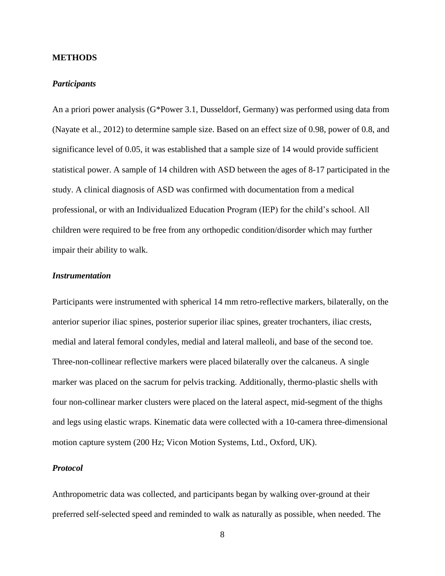#### **METHODS**

#### *Participants*

An a priori power analysis (G\*Power 3.1, Dusseldorf, Germany) was performed using data from (Nayate et al., 2012) to determine sample size. Based on an effect size of 0.98, power of 0.8, and significance level of 0.05, it was established that a sample size of 14 would provide sufficient statistical power. A sample of 14 children with ASD between the ages of 8-17 participated in the study. A clinical diagnosis of ASD was confirmed with documentation from a medical professional, or with an Individualized Education Program (IEP) for the child's school. All children were required to be free from any orthopedic condition/disorder which may further impair their ability to walk.

# *Instrumentation*

Participants were instrumented with spherical 14 mm retro-reflective markers, bilaterally, on the anterior superior iliac spines, posterior superior iliac spines, greater trochanters, iliac crests, medial and lateral femoral condyles, medial and lateral malleoli, and base of the second toe. Three-non-collinear reflective markers were placed bilaterally over the calcaneus. A single marker was placed on the sacrum for pelvis tracking. Additionally, thermo-plastic shells with four non-collinear marker clusters were placed on the lateral aspect, mid-segment of the thighs and legs using elastic wraps. Kinematic data were collected with a 10-camera three-dimensional motion capture system (200 Hz; Vicon Motion Systems, Ltd., Oxford, UK).

# *Protocol*

Anthropometric data was collected, and participants began by walking over-ground at their preferred self-selected speed and reminded to walk as naturally as possible, when needed. The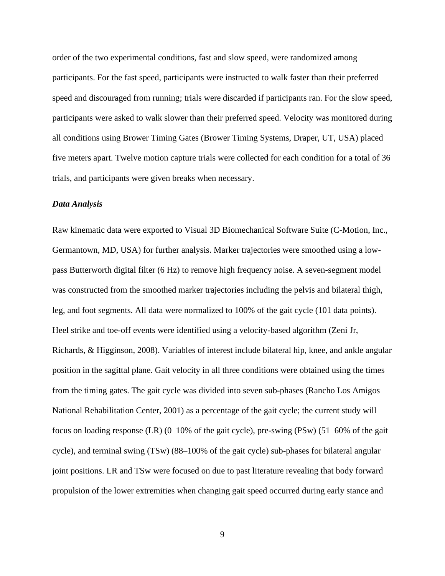order of the two experimental conditions, fast and slow speed, were randomized among participants. For the fast speed, participants were instructed to walk faster than their preferred speed and discouraged from running; trials were discarded if participants ran. For the slow speed, participants were asked to walk slower than their preferred speed. Velocity was monitored during all conditions using Brower Timing Gates (Brower Timing Systems, Draper, UT, USA) placed five meters apart. Twelve motion capture trials were collected for each condition for a total of 36 trials, and participants were given breaks when necessary.

# *Data Analysis*

Raw kinematic data were exported to Visual 3D Biomechanical Software Suite (C-Motion, Inc., Germantown, MD, USA) for further analysis. Marker trajectories were smoothed using a lowpass Butterworth digital filter (6 Hz) to remove high frequency noise. A seven-segment model was constructed from the smoothed marker trajectories including the pelvis and bilateral thigh, leg, and foot segments. All data were normalized to 100% of the gait cycle (101 data points). Heel strike and toe-off events were identified using a velocity-based algorithm (Zeni Jr, Richards, & Higginson, 2008). Variables of interest include bilateral hip, knee, and ankle angular position in the sagittal plane. Gait velocity in all three conditions were obtained using the times from the timing gates. The gait cycle was divided into seven sub-phases (Rancho Los Amigos National Rehabilitation Center, 2001) as a percentage of the gait cycle; the current study will focus on loading response (LR) (0–10% of the gait cycle), pre-swing (PSw) (51–60% of the gait cycle), and terminal swing (TSw) (88–100% of the gait cycle) sub-phases for bilateral angular joint positions. LR and TSw were focused on due to past literature revealing that body forward propulsion of the lower extremities when changing gait speed occurred during early stance and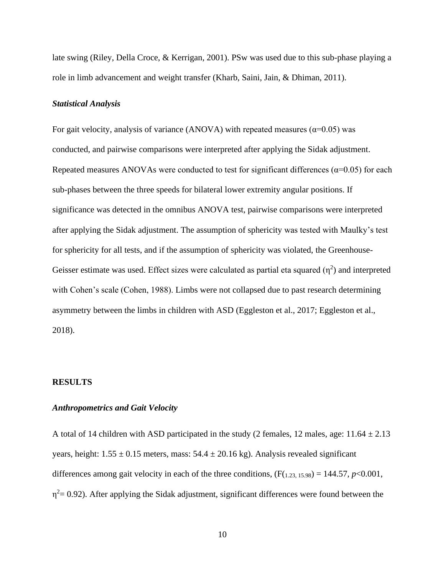late swing (Riley, Della Croce, & Kerrigan, 2001). PSw was used due to this sub-phase playing a role in limb advancement and weight transfer (Kharb, Saini, Jain, & Dhiman, 2011).

#### *Statistical Analysis*

For gait velocity, analysis of variance (ANOVA) with repeated measures ( $\alpha$ =0.05) was conducted, and pairwise comparisons were interpreted after applying the Sidak adjustment. Repeated measures ANOVAs were conducted to test for significant differences ( $\alpha$ =0.05) for each sub-phases between the three speeds for bilateral lower extremity angular positions. If significance was detected in the omnibus ANOVA test, pairwise comparisons were interpreted after applying the Sidak adjustment. The assumption of sphericity was tested with Maulky's test for sphericity for all tests, and if the assumption of sphericity was violated, the Greenhouse-Geisser estimate was used. Effect sizes were calculated as partial eta squared  $(\eta^2)$  and interpreted with Cohen's scale (Cohen, 1988). Limbs were not collapsed due to past research determining asymmetry between the limbs in children with ASD (Eggleston et al., 2017; Eggleston et al., 2018).

## **RESULTS**

# *Anthropometrics and Gait Velocity*

A total of 14 children with ASD participated in the study (2 females, 12 males, age:  $11.64 \pm 2.13$ years, height:  $1.55 \pm 0.15$  meters, mass:  $54.4 \pm 20.16$  kg). Analysis revealed significant differences among gait velocity in each of the three conditions,  $(F(1.23, 15.98) = 144.57, p < 0.001$ ,  $\eta^2$  = 0.92). After applying the Sidak adjustment, significant differences were found between the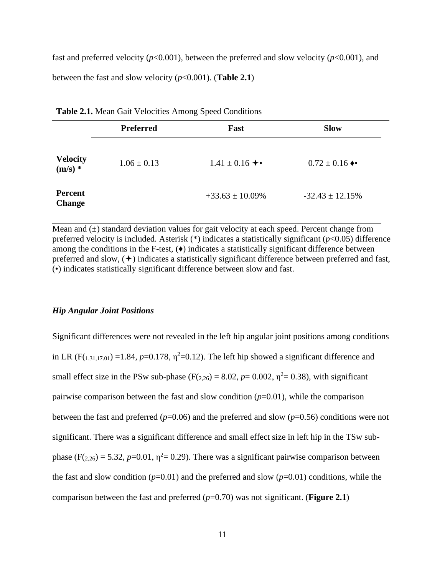fast and preferred velocity ( $p<0.001$ ), between the preferred and slow velocity ( $p<0.001$ ), and between the fast and slow velocity  $(p<0.001)$ . (**Table 2.1**)

|                                 | <b>Preferred</b> | Fast                 | <b>Slow</b>                       |  |
|---------------------------------|------------------|----------------------|-----------------------------------|--|
| <b>Velocity</b><br>$(m/s)$ *    | $1.06 \pm 0.13$  | $1.41 \pm 0.16 +$    | $0.72 \pm 0.16$ $\leftrightarrow$ |  |
| <b>Percent</b><br><b>Change</b> |                  | $+33.63 \pm 10.09\%$ | $-32.43 \pm 12.15\%$              |  |

| Table 2.1. Mean Gait Velocities Among Speed Conditions |  |  |  |
|--------------------------------------------------------|--|--|--|
|--------------------------------------------------------|--|--|--|

Mean and  $(\pm)$  standard deviation values for gait velocity at each speed. Percent change from preferred velocity is included. Asterisk (\*) indicates a statistically significant (*p*<0.05) difference among the conditions in the F-test,  $(\bullet)$  indicates a statistically significant difference between preferred and slow,  $(+)$  indicates a statistically significant difference between preferred and fast, (•) indicates statistically significant difference between slow and fast.

#### *Hip Angular Joint Positions*

Significant differences were not revealed in the left hip angular joint positions among conditions in LR ( $F(1,31,17,01) = 1.84$ ,  $p=0.178$ ,  $\eta^2=0.12$ ). The left hip showed a significant difference and small effect size in the PSw sub-phase ( $F(2,26) = 8.02$ ,  $p = 0.002$ ,  $\eta^2 = 0.38$ ), with significant pairwise comparison between the fast and slow condition  $(p=0.01)$ , while the comparison between the fast and preferred (*p*=0.06) and the preferred and slow (*p*=0.56) conditions were not significant. There was a significant difference and small effect size in left hip in the TSw subphase  $(F(2,26) = 5.32, p=0.01, \eta^2 = 0.29)$ . There was a significant pairwise comparison between the fast and slow condition  $(p=0.01)$  and the preferred and slow  $(p=0.01)$  conditions, while the comparison between the fast and preferred  $(p=0.70)$  was not significant. (**Figure 2.1**)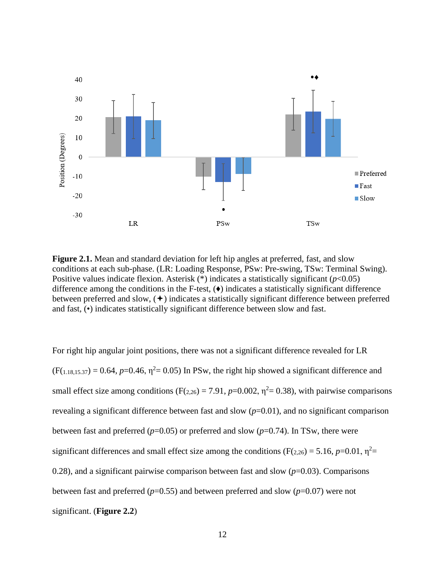

**Figure 2.1.** Mean and standard deviation for left hip angles at preferred, fast, and slow conditions at each sub-phase. (LR: Loading Response, PSw: Pre-swing, TSw: Terminal Swing). Positive values indicate flexion. Asterisk (\*) indicates a statistically significant (*p*<0.05) difference among the conditions in the F-test,  $(\bullet)$  indicates a statistically significant difference between preferred and slow,  $(+)$  indicates a statistically significant difference between preferred and fast, (•) indicates statistically significant difference between slow and fast.

For right hip angular joint positions, there was not a significant difference revealed for LR  $(F(1.18,15.37) = 0.64, p=0.46, \eta^2 = 0.05)$  In PSw, the right hip showed a significant difference and small effect size among conditions ( $F(z_{.26}) = 7.91$ ,  $p=0.002$ ,  $\eta^2 = 0.38$ ), with pairwise comparisons revealing a significant difference between fast and slow  $(p=0.01)$ , and no significant comparison between fast and preferred  $(p=0.05)$  or preferred and slow  $(p=0.74)$ . In TSw, there were significant differences and small effect size among the conditions ( $F(z_{.26}) = 5.16$ ,  $p=0.01$ ,  $\eta^2=$ 0.28), and a significant pairwise comparison between fast and slow  $(p=0.03)$ . Comparisons between fast and preferred  $(p=0.55)$  and between preferred and slow  $(p=0.07)$  were not significant. (**Figure 2.2**)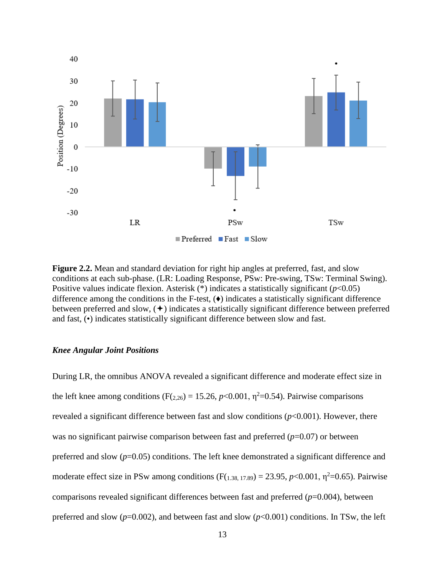

**Figure 2.2.** Mean and standard deviation for right hip angles at preferred, fast, and slow conditions at each sub-phase. (LR: Loading Response, PSw: Pre-swing, TSw: Terminal Swing). Positive values indicate flexion. Asterisk (\*) indicates a statistically significant (*p*<0.05) difference among the conditions in the F-test,  $(\bullet)$  indicates a statistically significant difference between preferred and slow,  $(+)$  indicates a statistically significant difference between preferred and fast, (•) indicates statistically significant difference between slow and fast.

#### *Knee Angular Joint Positions*

During LR, the omnibus ANOVA revealed a significant difference and moderate effect size in the left knee among conditions ( $F(2,26) = 15.26$ ,  $p < 0.001$ ,  $\eta^2 = 0.54$ ). Pairwise comparisons revealed a significant difference between fast and slow conditions (*p*<0.001). However, there was no significant pairwise comparison between fast and preferred ( $p=0.07$ ) or between preferred and slow (*p*=0.05) conditions. The left knee demonstrated a significant difference and moderate effect size in PSw among conditions  $(F(1.38, 17.89) = 23.95, p < 0.001, \eta^2 = 0.65)$ . Pairwise comparisons revealed significant differences between fast and preferred (*p*=0.004), between preferred and slow  $(p=0.002)$ , and between fast and slow  $(p<0.001)$  conditions. In TSw, the left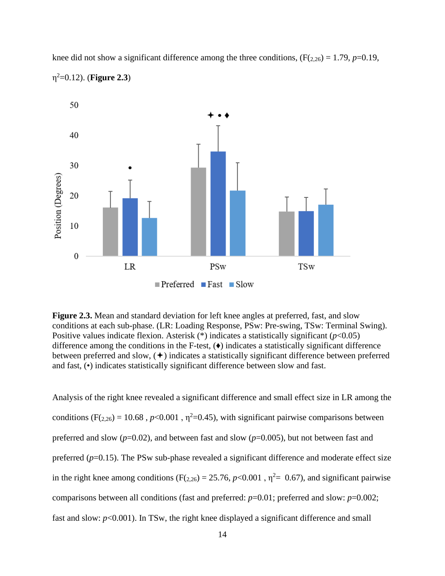knee did not show a significant difference among the three conditions,  $(F(2,26) = 1.79, p=0.19,$ η <sup>2</sup>=0.12). (**Figure 2.3**)



**Figure 2.3.** Mean and standard deviation for left knee angles at preferred, fast, and slow conditions at each sub-phase. (LR: Loading Response, PSw: Pre-swing, TSw: Terminal Swing). Positive values indicate flexion. Asterisk (\*) indicates a statistically significant (*p*<0.05) difference among the conditions in the F-test, (♦) indicates a statistically significant difference between preferred and slow,  $(+)$  indicates a statistically significant difference between preferred and fast, (•) indicates statistically significant difference between slow and fast.

Analysis of the right knee revealed a significant difference and small effect size in LR among the conditions ( $F(z_{.26}) = 10.68$ ,  $p < 0.001$ ,  $\eta^2 = 0.45$ ), with significant pairwise comparisons between preferred and slow (*p*=0.02), and between fast and slow (*p*=0.005), but not between fast and preferred ( $p=0.15$ ). The PSw sub-phase revealed a significant difference and moderate effect size in the right knee among conditions ( $F(2,26) = 25.76$ ,  $p < 0.001$ ,  $\eta^2 = 0.67$ ), and significant pairwise comparisons between all conditions (fast and preferred: *p*=0.01; preferred and slow: *p*=0.002; fast and slow:  $p<0.001$ ). In TSw, the right knee displayed a significant difference and small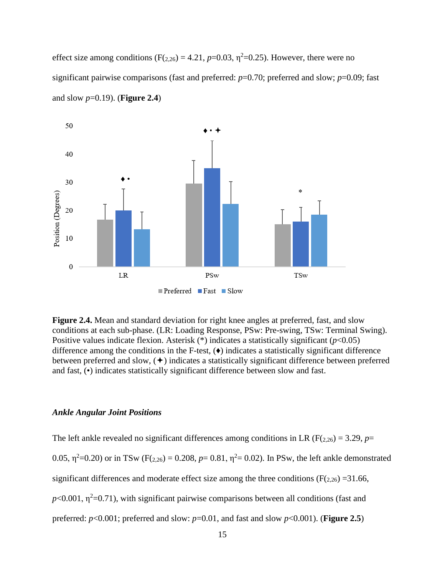effect size among conditions ( $F(2,26) = 4.21$ ,  $p=0.03$ ,  $\eta^2=0.25$ ). However, there were no significant pairwise comparisons (fast and preferred: *p*=0.70; preferred and slow; *p*=0.09; fast and slow *p*=0.19). (**Figure 2.4**)



**Figure 2.4.** Mean and standard deviation for right knee angles at preferred, fast, and slow conditions at each sub-phase. (LR: Loading Response, PSw: Pre-swing, TSw: Terminal Swing). Positive values indicate flexion. Asterisk (\*) indicates a statistically significant (*p*<0.05) difference among the conditions in the F-test,  $(\bullet)$  indicates a statistically significant difference between preferred and slow,  $(+)$  indicates a statistically significant difference between preferred and fast, (•) indicates statistically significant difference between slow and fast.

## *Ankle Angular Joint Positions*

The left ankle revealed no significant differences among conditions in LR ( $F(z_{20}) = 3.29$ ,  $p=$ 0.05,  $\eta^2$ =0.20) or in TSw (F(2.26) = 0.208, *p*= 0.81,  $\eta^2$ = 0.02). In PSw, the left ankle demonstrated significant differences and moderate effect size among the three conditions ( $F(2,26) = 31.66$ ,  $p<0.001$ ,  $\eta^2=0.71$ ), with significant pairwise comparisons between all conditions (fast and preferred:  $p<0.001$ ; preferred and slow:  $p=0.01$ , and fast and slow  $p<0.001$ ). (**Figure 2.5**)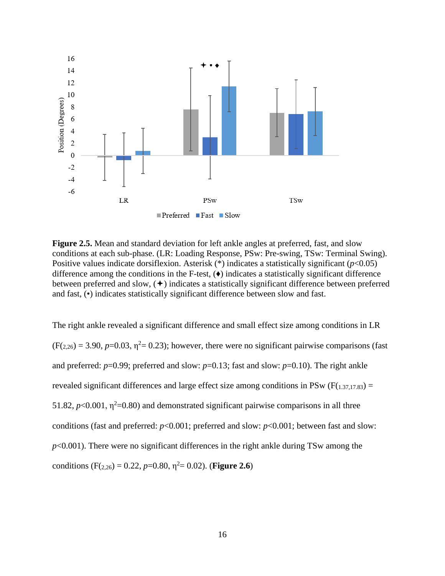

**Figure 2.5.** Mean and standard deviation for left ankle angles at preferred, fast, and slow conditions at each sub-phase. (LR: Loading Response, PSw: Pre-swing, TSw: Terminal Swing). Positive values indicate dorsiflexion. Asterisk (\*) indicates a statistically significant (*p*<0.05) difference among the conditions in the F-test,  $(\bullet)$  indicates a statistically significant difference between preferred and slow,  $(+)$  indicates a statistically significant difference between preferred and fast, (•) indicates statistically significant difference between slow and fast.

The right ankle revealed a significant difference and small effect size among conditions in LR  $(F(2,26) = 3.90, p=0.03, \eta^2 = 0.23)$ ; however, there were no significant pairwise comparisons (fast and preferred:  $p=0.99$ ; preferred and slow:  $p=0.13$ ; fast and slow:  $p=0.10$ ). The right ankle revealed significant differences and large effect size among conditions in PSw ( $F(1,37,17,83) =$ 51.82,  $p<0.001$ ,  $\eta^2=0.80$ ) and demonstrated significant pairwise comparisons in all three conditions (fast and preferred: *p*<0.001; preferred and slow: *p*<0.001; between fast and slow: *p*<0.001). There were no significant differences in the right ankle during TSw among the conditions (F(<sub>2,26</sub>) = 0.22, *p*=0.80,  $\eta^2$  = 0.02). (**Figure 2.6**)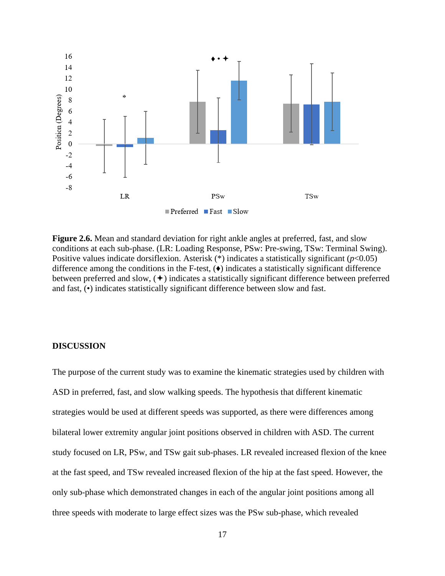

**Figure 2.6.** Mean and standard deviation for right ankle angles at preferred, fast, and slow conditions at each sub-phase. (LR: Loading Response, PSw: Pre-swing, TSw: Terminal Swing). Positive values indicate dorsiflexion. Asterisk (\*) indicates a statistically significant (*p*<0.05) difference among the conditions in the F-test,  $(\bullet)$  indicates a statistically significant difference between preferred and slow,  $(+)$  indicates a statistically significant difference between preferred and fast, (•) indicates statistically significant difference between slow and fast.

## **DISCUSSION**

The purpose of the current study was to examine the kinematic strategies used by children with ASD in preferred, fast, and slow walking speeds. The hypothesis that different kinematic strategies would be used at different speeds was supported, as there were differences among bilateral lower extremity angular joint positions observed in children with ASD. The current study focused on LR, PSw, and TSw gait sub-phases. LR revealed increased flexion of the knee at the fast speed, and TSw revealed increased flexion of the hip at the fast speed. However, the only sub-phase which demonstrated changes in each of the angular joint positions among all three speeds with moderate to large effect sizes was the PSw sub-phase, which revealed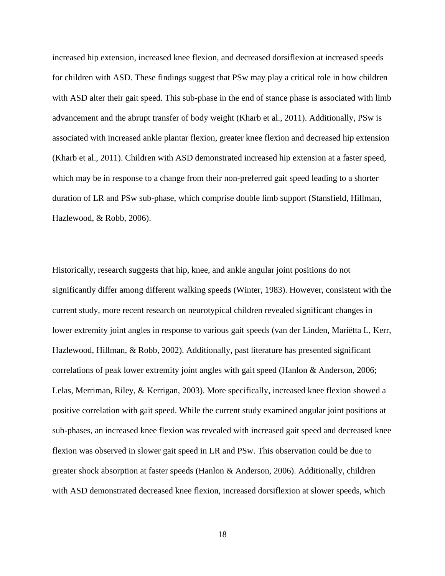increased hip extension, increased knee flexion, and decreased dorsiflexion at increased speeds for children with ASD. These findings suggest that PSw may play a critical role in how children with ASD alter their gait speed. This sub-phase in the end of stance phase is associated with limb advancement and the abrupt transfer of body weight (Kharb et al., 2011). Additionally, PSw is associated with increased ankle plantar flexion, greater knee flexion and decreased hip extension (Kharb et al., 2011). Children with ASD demonstrated increased hip extension at a faster speed, which may be in response to a change from their non-preferred gait speed leading to a shorter duration of LR and PSw sub-phase, which comprise double limb support (Stansfield, Hillman, Hazlewood, & Robb, 2006).

Historically, research suggests that hip, knee, and ankle angular joint positions do not significantly differ among different walking speeds (Winter, 1983). However, consistent with the current study, more recent research on neurotypical children revealed significant changes in lower extremity joint angles in response to various gait speeds (van der Linden, Mariëtta L, Kerr, Hazlewood, Hillman, & Robb, 2002). Additionally, past literature has presented significant correlations of peak lower extremity joint angles with gait speed (Hanlon & Anderson, 2006; Lelas, Merriman, Riley, & Kerrigan, 2003). More specifically, increased knee flexion showed a positive correlation with gait speed. While the current study examined angular joint positions at sub-phases, an increased knee flexion was revealed with increased gait speed and decreased knee flexion was observed in slower gait speed in LR and PSw. This observation could be due to greater shock absorption at faster speeds (Hanlon & Anderson, 2006). Additionally, children with ASD demonstrated decreased knee flexion, increased dorsiflexion at slower speeds, which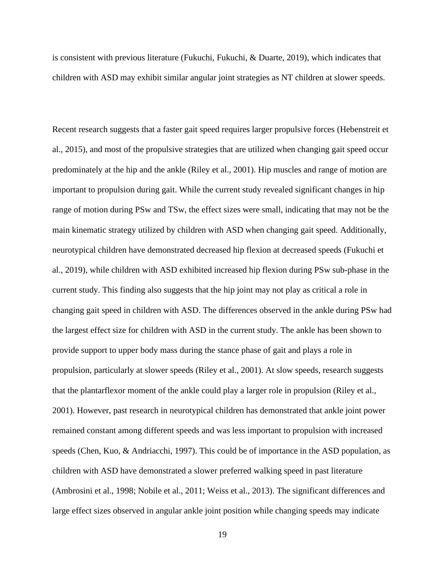is consistent with previous literature (Fukuchi, Fukuchi, & Duarte, 2019), which indicates that children with ASD may exhibit similar angular joint strategies as NT children at slower speeds.

Recent research suggests that a faster gait speed requires larger propulsive forces (Hebenstreit et al., 2015), and most of the propulsive strategies that are utilized when changing gait speed occur predominately at the hip and the ankle (Riley et al., 2001). Hip muscles and range of motion are important to propulsion during gait. While the current study revealed significant changes in hip range of motion during PSw and TSw, the effect sizes were small, indicating that may not be the main kinematic strategy utilized by children with ASD when changing gait speed. Additionally, neurotypical children have demonstrated decreased hip flexion at decreased speeds (Fukuchi et al., 2019), while children with ASD exhibited increased hip flexion during PSw sub-phase in the current study. This finding also suggests that the hip joint may not play as critical a role in changing gait speed in children with ASD. The differences observed in the ankle during PSw had the largest effect size for children with ASD in the current study. The ankle has been shown to provide support to upper body mass during the stance phase of gait and plays a role in propulsion, particularly at slower speeds (Riley et al., 2001). At slow speeds, research suggests that the plantarflexor moment of the ankle could play a larger role in propulsion (Riley et al., 2001). However, past research in neurotypical children has demonstrated that ankle joint power remained constant among different speeds and was less important to propulsion with increased speeds (Chen, Kuo, & Andriacchi, 1997). This could be of importance in the ASD population, as children with ASD have demonstrated a slower preferred walking speed in past literature (Ambrosini et al., 1998; Nobile et al., 2011; Weiss et al., 2013). The significant differences and large effect sizes observed in angular ankle joint position while changing speeds may indicate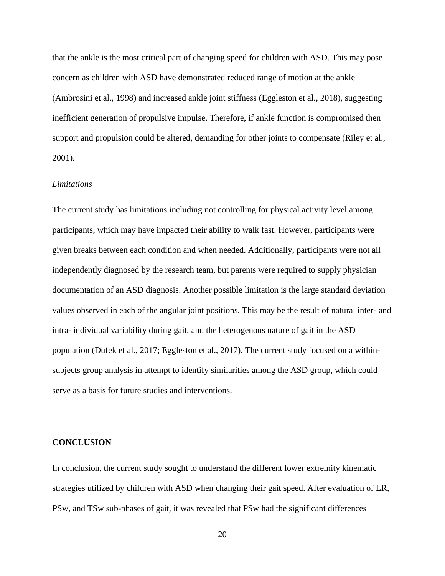that the ankle is the most critical part of changing speed for children with ASD. This may pose concern as children with ASD have demonstrated reduced range of motion at the ankle (Ambrosini et al., 1998) and increased ankle joint stiffness (Eggleston et al., 2018), suggesting inefficient generation of propulsive impulse. Therefore, if ankle function is compromised then support and propulsion could be altered, demanding for other joints to compensate (Riley et al., 2001).

# *Limitations*

The current study has limitations including not controlling for physical activity level among participants, which may have impacted their ability to walk fast. However, participants were given breaks between each condition and when needed. Additionally, participants were not all independently diagnosed by the research team, but parents were required to supply physician documentation of an ASD diagnosis. Another possible limitation is the large standard deviation values observed in each of the angular joint positions. This may be the result of natural inter- and intra- individual variability during gait, and the heterogenous nature of gait in the ASD population (Dufek et al., 2017; Eggleston et al., 2017). The current study focused on a withinsubjects group analysis in attempt to identify similarities among the ASD group, which could serve as a basis for future studies and interventions.

# **CONCLUSION**

In conclusion, the current study sought to understand the different lower extremity kinematic strategies utilized by children with ASD when changing their gait speed. After evaluation of LR, PSw, and TSw sub-phases of gait, it was revealed that PSw had the significant differences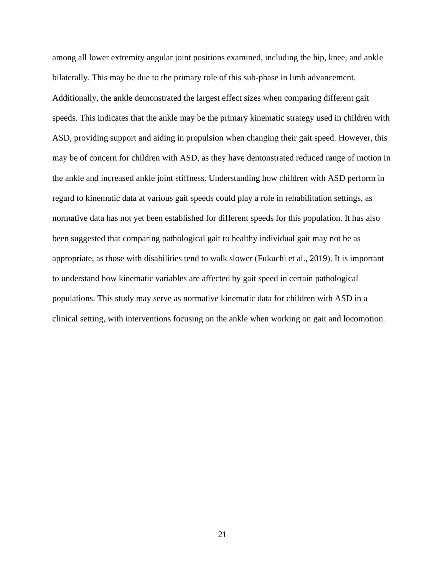among all lower extremity angular joint positions examined, including the hip, knee, and ankle bilaterally. This may be due to the primary role of this sub-phase in limb advancement. Additionally, the ankle demonstrated the largest effect sizes when comparing different gait speeds. This indicates that the ankle may be the primary kinematic strategy used in children with ASD, providing support and aiding in propulsion when changing their gait speed. However, this may be of concern for children with ASD, as they have demonstrated reduced range of motion in the ankle and increased ankle joint stiffness. Understanding how children with ASD perform in regard to kinematic data at various gait speeds could play a role in rehabilitation settings, as normative data has not yet been established for different speeds for this population. It has also been suggested that comparing pathological gait to healthy individual gait may not be as appropriate, as those with disabilities tend to walk slower (Fukuchi et al., 2019). It is important to understand how kinematic variables are affected by gait speed in certain pathological populations. This study may serve as normative kinematic data for children with ASD in a clinical setting, with interventions focusing on the ankle when working on gait and locomotion.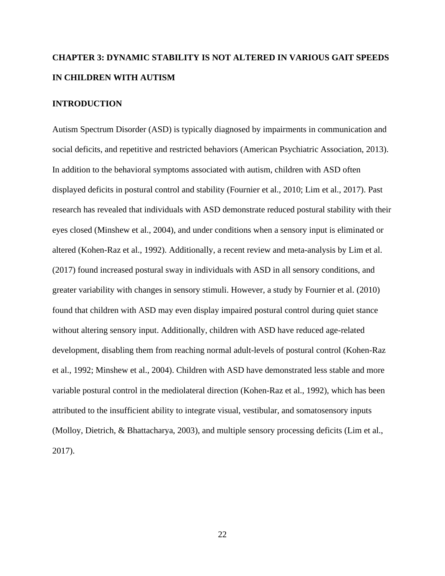# **CHAPTER 3: DYNAMIC STABILITY IS NOT ALTERED IN VARIOUS GAIT SPEEDS IN CHILDREN WITH AUTISM**

## **INTRODUCTION**

Autism Spectrum Disorder (ASD) is typically diagnosed by impairments in communication and social deficits, and repetitive and restricted behaviors (American Psychiatric Association, 2013). In addition to the behavioral symptoms associated with autism, children with ASD often displayed deficits in postural control and stability (Fournier et al., 2010; Lim et al., 2017). Past research has revealed that individuals with ASD demonstrate reduced postural stability with their eyes closed (Minshew et al., 2004), and under conditions when a sensory input is eliminated or altered (Kohen-Raz et al., 1992). Additionally, a recent review and meta-analysis by Lim et al. (2017) found increased postural sway in individuals with ASD in all sensory conditions, and greater variability with changes in sensory stimuli. However, a study by Fournier et al. (2010) found that children with ASD may even display impaired postural control during quiet stance without altering sensory input. Additionally, children with ASD have reduced age-related development, disabling them from reaching normal adult-levels of postural control (Kohen-Raz et al., 1992; Minshew et al., 2004). Children with ASD have demonstrated less stable and more variable postural control in the mediolateral direction (Kohen-Raz et al., 1992), which has been attributed to the insufficient ability to integrate visual, vestibular, and somatosensory inputs (Molloy, Dietrich, & Bhattacharya, 2003), and multiple sensory processing deficits (Lim et al., 2017).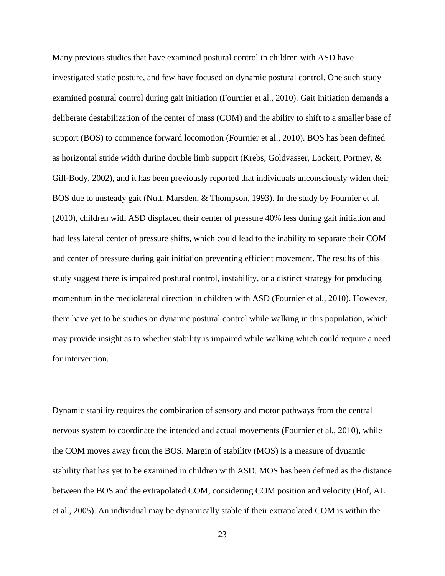Many previous studies that have examined postural control in children with ASD have investigated static posture, and few have focused on dynamic postural control. One such study examined postural control during gait initiation (Fournier et al., 2010). Gait initiation demands a deliberate destabilization of the center of mass (COM) and the ability to shift to a smaller base of support (BOS) to commence forward locomotion (Fournier et al., 2010). BOS has been defined as horizontal stride width during double limb support (Krebs, Goldvasser, Lockert, Portney, & Gill-Body, 2002), and it has been previously reported that individuals unconsciously widen their BOS due to unsteady gait (Nutt, Marsden, & Thompson, 1993). In the study by Fournier et al. (2010), children with ASD displaced their center of pressure 40% less during gait initiation and had less lateral center of pressure shifts, which could lead to the inability to separate their COM and center of pressure during gait initiation preventing efficient movement. The results of this study suggest there is impaired postural control, instability, or a distinct strategy for producing momentum in the mediolateral direction in children with ASD (Fournier et al., 2010). However, there have yet to be studies on dynamic postural control while walking in this population, which may provide insight as to whether stability is impaired while walking which could require a need for intervention.

Dynamic stability requires the combination of sensory and motor pathways from the central nervous system to coordinate the intended and actual movements (Fournier et al., 2010), while the COM moves away from the BOS. Margin of stability (MOS) is a measure of dynamic stability that has yet to be examined in children with ASD. MOS has been defined as the distance between the BOS and the extrapolated COM, considering COM position and velocity (Hof, AL et al., 2005). An individual may be dynamically stable if their extrapolated COM is within the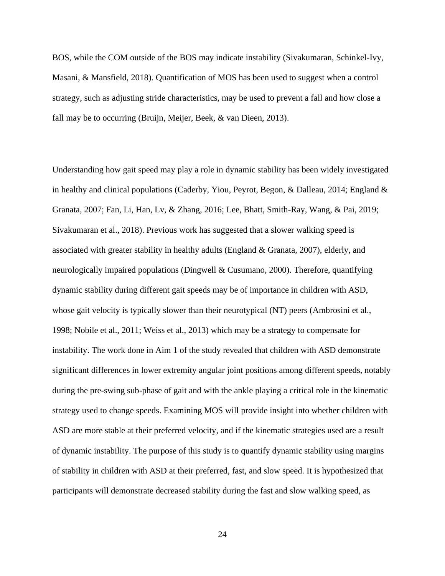BOS, while the COM outside of the BOS may indicate instability (Sivakumaran, Schinkel-Ivy, Masani, & Mansfield, 2018). Quantification of MOS has been used to suggest when a control strategy, such as adjusting stride characteristics, may be used to prevent a fall and how close a fall may be to occurring (Bruijn, Meijer, Beek, & van Dieen, 2013).

Understanding how gait speed may play a role in dynamic stability has been widely investigated in healthy and clinical populations (Caderby, Yiou, Peyrot, Begon, & Dalleau, 2014; England & Granata, 2007; Fan, Li, Han, Lv, & Zhang, 2016; Lee, Bhatt, Smith-Ray, Wang, & Pai, 2019; Sivakumaran et al., 2018). Previous work has suggested that a slower walking speed is associated with greater stability in healthy adults (England & Granata, 2007), elderly, and neurologically impaired populations (Dingwell & Cusumano, 2000). Therefore, quantifying dynamic stability during different gait speeds may be of importance in children with ASD, whose gait velocity is typically slower than their neurotypical (NT) peers (Ambrosini et al., 1998; Nobile et al., 2011; Weiss et al., 2013) which may be a strategy to compensate for instability. The work done in Aim 1 of the study revealed that children with ASD demonstrate significant differences in lower extremity angular joint positions among different speeds, notably during the pre-swing sub-phase of gait and with the ankle playing a critical role in the kinematic strategy used to change speeds. Examining MOS will provide insight into whether children with ASD are more stable at their preferred velocity, and if the kinematic strategies used are a result of dynamic instability. The purpose of this study is to quantify dynamic stability using margins of stability in children with ASD at their preferred, fast, and slow speed. It is hypothesized that participants will demonstrate decreased stability during the fast and slow walking speed, as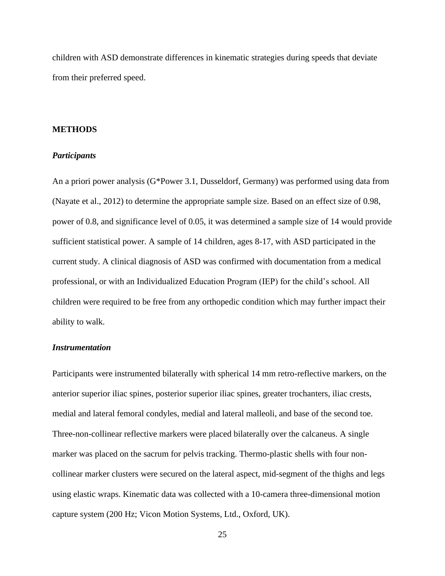children with ASD demonstrate differences in kinematic strategies during speeds that deviate from their preferred speed.

# **METHODS**

## *Participants*

An a priori power analysis (G\*Power 3.1, Dusseldorf, Germany) was performed using data from (Nayate et al., 2012) to determine the appropriate sample size. Based on an effect size of 0.98, power of 0.8, and significance level of 0.05, it was determined a sample size of 14 would provide sufficient statistical power. A sample of 14 children, ages 8-17, with ASD participated in the current study. A clinical diagnosis of ASD was confirmed with documentation from a medical professional, or with an Individualized Education Program (IEP) for the child's school. All children were required to be free from any orthopedic condition which may further impact their ability to walk.

# *Instrumentation*

Participants were instrumented bilaterally with spherical 14 mm retro-reflective markers, on the anterior superior iliac spines, posterior superior iliac spines, greater trochanters, iliac crests, medial and lateral femoral condyles, medial and lateral malleoli, and base of the second toe. Three-non-collinear reflective markers were placed bilaterally over the calcaneus. A single marker was placed on the sacrum for pelvis tracking. Thermo-plastic shells with four noncollinear marker clusters were secured on the lateral aspect, mid-segment of the thighs and legs using elastic wraps. Kinematic data was collected with a 10-camera three-dimensional motion capture system (200 Hz; Vicon Motion Systems, Ltd., Oxford, UK).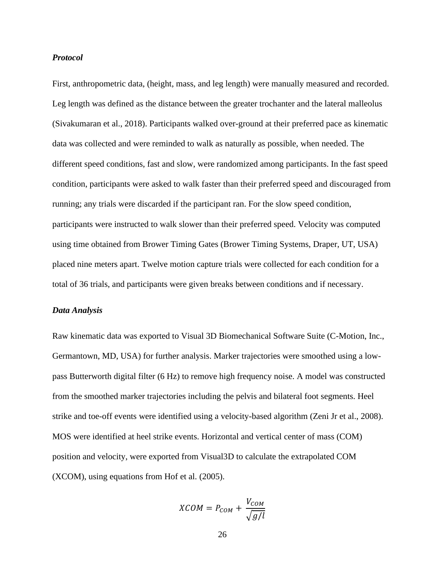### *Protocol*

First, anthropometric data, (height, mass, and leg length) were manually measured and recorded. Leg length was defined as the distance between the greater trochanter and the lateral malleolus (Sivakumaran et al., 2018). Participants walked over-ground at their preferred pace as kinematic data was collected and were reminded to walk as naturally as possible, when needed. The different speed conditions, fast and slow, were randomized among participants. In the fast speed condition, participants were asked to walk faster than their preferred speed and discouraged from running; any trials were discarded if the participant ran. For the slow speed condition, participants were instructed to walk slower than their preferred speed. Velocity was computed using time obtained from Brower Timing Gates (Brower Timing Systems, Draper, UT, USA) placed nine meters apart. Twelve motion capture trials were collected for each condition for a total of 36 trials, and participants were given breaks between conditions and if necessary.

#### *Data Analysis*

Raw kinematic data was exported to Visual 3D Biomechanical Software Suite (C-Motion, Inc., Germantown, MD, USA) for further analysis. Marker trajectories were smoothed using a lowpass Butterworth digital filter (6 Hz) to remove high frequency noise. A model was constructed from the smoothed marker trajectories including the pelvis and bilateral foot segments. Heel strike and toe-off events were identified using a velocity-based algorithm (Zeni Jr et al., 2008). MOS were identified at heel strike events. Horizontal and vertical center of mass (COM) position and velocity, were exported from Visual3D to calculate the extrapolated COM (XCOM), using equations from Hof et al. (2005).

$$
XCOM = P_{COM} + \frac{V_{COM}}{\sqrt{g/l}}
$$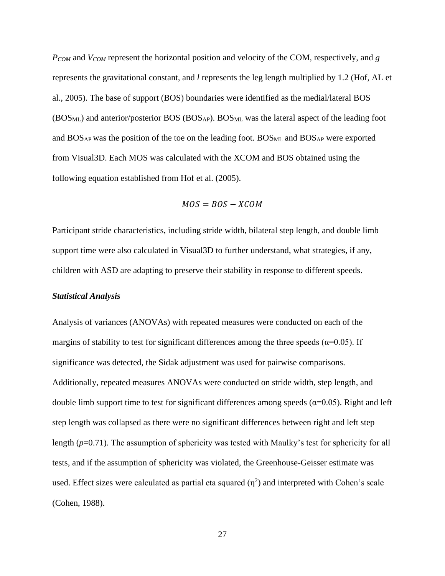*PCOM* and *VCOM* represent the horizontal position and velocity of the COM, respectively, and *g*  represents the gravitational constant, and *l* represents the leg length multiplied by 1.2 (Hof, AL et al., 2005). The base of support (BOS) boundaries were identified as the medial/lateral BOS (BOS<sub>ML</sub>) and anterior/posterior BOS (BOS<sub>AP</sub>). BOS<sub>ML</sub> was the lateral aspect of the leading foot and  $BOS<sub>AP</sub>$  was the position of the toe on the leading foot.  $BOS<sub>ML</sub>$  and  $BOS<sub>AP</sub>$  were exported from Visual3D. Each MOS was calculated with the XCOM and BOS obtained using the following equation established from Hof et al. (2005).

$$
MOS = BOS - XCOM
$$

Participant stride characteristics, including stride width, bilateral step length, and double limb support time were also calculated in Visual3D to further understand, what strategies, if any, children with ASD are adapting to preserve their stability in response to different speeds.

#### *Statistical Analysis*

Analysis of variances (ANOVAs) with repeated measures were conducted on each of the margins of stability to test for significant differences among the three speeds ( $\alpha$ =0.05). If significance was detected, the Sidak adjustment was used for pairwise comparisons. Additionally, repeated measures ANOVAs were conducted on stride width, step length, and double limb support time to test for significant differences among speeds ( $α=0.05$ ). Right and left step length was collapsed as there were no significant differences between right and left step length (*p*=0.71). The assumption of sphericity was tested with Maulky's test for sphericity for all tests, and if the assumption of sphericity was violated, the Greenhouse-Geisser estimate was used. Effect sizes were calculated as partial eta squared  $(\eta^2)$  and interpreted with Cohen's scale (Cohen, 1988).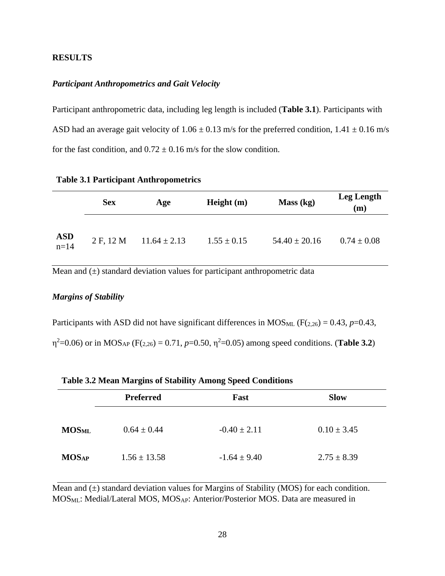# **RESULTS**

#### *Participant Anthropometrics and Gait Velocity*

Participant anthropometric data, including leg length is included (**Table 3.1**). Participants with ASD had an average gait velocity of  $1.06 \pm 0.13$  m/s for the preferred condition,  $1.41 \pm 0.16$  m/s for the fast condition, and  $0.72 \pm 0.16$  m/s for the slow condition.

|  |  | <b>Table 3.1 Participant Anthropometrics</b> |  |
|--|--|----------------------------------------------|--|
|--|--|----------------------------------------------|--|

|               | <b>Sex</b> | Age              | Height $(m)$    | Mass (kg)         | <b>Leg Length</b><br>(m) |
|---------------|------------|------------------|-----------------|-------------------|--------------------------|
| $ASD$<br>n=14 | 2 F, 12 M  | $11.64 \pm 2.13$ | $1.55 \pm 0.15$ | $54.40 \pm 20.16$ | $0.74 \pm 0.08$          |

Mean and  $(\pm)$  standard deviation values for participant anthropometric data

# *Margins of Stability*

Participants with ASD did not have significant differences in MOS<sub>ML</sub> ( $F(2,26) = 0.43$ ,  $p=0.43$ ,  $η<sup>2</sup>=0.06$ ) or in MOS<sub>AP</sub> (F(<sub>2,26</sub>) = 0.71, *p*=0.50,  $η<sup>2</sup>=0.05$ ) among speed conditions. (**Table 3.2**)

|              |                  | Twore our fixed from gain of building, famolig opeen continuous |                 |  |
|--------------|------------------|-----------------------------------------------------------------|-----------------|--|
|              | <b>Preferred</b> | Fast                                                            | <b>Slow</b>     |  |
| <b>MOSML</b> | $0.64 \pm 0.44$  | $-0.40 \pm 2.11$                                                | $0.10 \pm 3.45$ |  |
| <b>MOSAP</b> | $1.56 \pm 13.58$ | $-1.64 \pm 9.40$                                                | $2.75 \pm 8.39$ |  |

|  | <b>Table 3.2 Mean Margins of Stability Among Speed Conditions</b> |  |  |  |  |
|--|-------------------------------------------------------------------|--|--|--|--|
|--|-------------------------------------------------------------------|--|--|--|--|

Mean and  $\overline{(\pm)}$  standard deviation values for Margins of Stability (MOS) for each condition. MOSML: Medial/Lateral MOS, MOSAP: Anterior/Posterior MOS. Data are measured in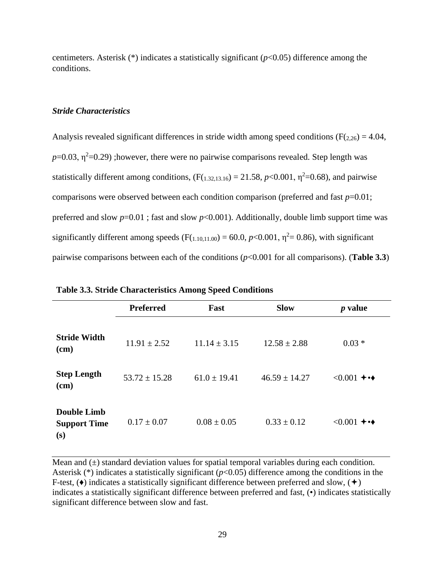centimeters. Asterisk (\*) indicates a statistically significant (*p*<0.05) difference among the conditions.

#### *Stride Characteristics*

Analysis revealed significant differences in stride width among speed conditions ( $F(2,26) = 4.04$ ,  $p=0.03$ ,  $\eta^2=0.29$ ) ;however, there were no pairwise comparisons revealed. Step length was statistically different among conditions,  $(F(1.32,13.16) = 21.58, p < 0.001, \eta^2 = 0.68)$ , and pairwise comparisons were observed between each condition comparison (preferred and fast *p*=0.01; preferred and slow  $p=0.01$ ; fast and slow  $p<0.001$ ). Additionally, double limb support time was significantly different among speeds ( $F(1,10,11.00) = 60.0$ ,  $p<0.001$ ,  $\eta^2 = 0.86$ ), with significant pairwise comparisons between each of the conditions (*p*<0.001 for all comparisons). (**Table 3.3**)

|                                                  | <b>Preferred</b>  | Fast             | <b>Slow</b>       | $p$ value        |
|--------------------------------------------------|-------------------|------------------|-------------------|------------------|
| <b>Stride Width</b><br>$(cm)$                    | $11.91 \pm 2.52$  | $11.14 \pm 3.15$ | $12.58 \pm 2.88$  | $0.03 *$         |
| <b>Step Length</b><br>(cm)                       | $53.72 \pm 15.28$ | $61.0 \pm 19.41$ | $46.59 \pm 14.27$ | $\leq 0.001 + 4$ |
| <b>Double Limb</b><br><b>Support Time</b><br>(s) | $0.17 \pm 0.07$   | $0.08 \pm 0.05$  | $0.33 \pm 0.12$   | $\leq 0.001 + 4$ |

|  | <b>Table 3.3. Stride Characteristics Among Speed Conditions</b> |  |  |
|--|-----------------------------------------------------------------|--|--|
|--|-----------------------------------------------------------------|--|--|

Mean and  $(\pm)$  standard deviation values for spatial temporal variables during each condition. Asterisk (\*) indicates a statistically significant (*p*<0.05) difference among the conditions in the F-test,  $(\bullet)$  indicates a statistically significant difference between preferred and slow,  $(\bullet)$ indicates a statistically significant difference between preferred and fast, (•) indicates statistically significant difference between slow and fast.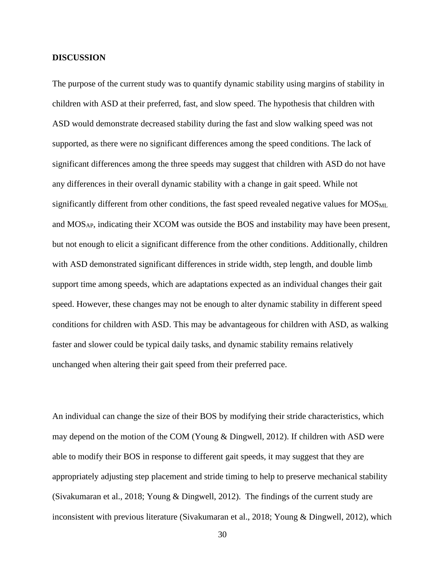#### **DISCUSSION**

The purpose of the current study was to quantify dynamic stability using margins of stability in children with ASD at their preferred, fast, and slow speed. The hypothesis that children with ASD would demonstrate decreased stability during the fast and slow walking speed was not supported, as there were no significant differences among the speed conditions. The lack of significant differences among the three speeds may suggest that children with ASD do not have any differences in their overall dynamic stability with a change in gait speed. While not significantly different from other conditions, the fast speed revealed negative values for MOS<sub>ML</sub> and MOSAP, indicating their XCOM was outside the BOS and instability may have been present, but not enough to elicit a significant difference from the other conditions. Additionally, children with ASD demonstrated significant differences in stride width, step length, and double limb support time among speeds, which are adaptations expected as an individual changes their gait speed. However, these changes may not be enough to alter dynamic stability in different speed conditions for children with ASD. This may be advantageous for children with ASD, as walking faster and slower could be typical daily tasks, and dynamic stability remains relatively unchanged when altering their gait speed from their preferred pace.

An individual can change the size of their BOS by modifying their stride characteristics, which may depend on the motion of the COM (Young & Dingwell, 2012). If children with ASD were able to modify their BOS in response to different gait speeds, it may suggest that they are appropriately adjusting step placement and stride timing to help to preserve mechanical stability (Sivakumaran et al., 2018; Young & Dingwell, 2012). The findings of the current study are inconsistent with previous literature (Sivakumaran et al., 2018; Young & Dingwell, 2012), which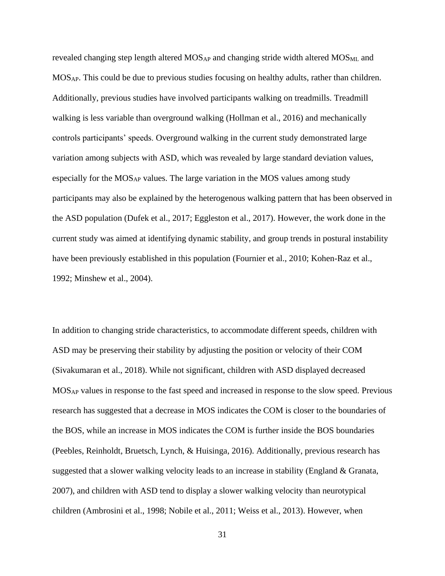revealed changing step length altered MOS<sub>AP</sub> and changing stride width altered MOS<sub>ML</sub> and MOSAP. This could be due to previous studies focusing on healthy adults, rather than children. Additionally, previous studies have involved participants walking on treadmills. Treadmill walking is less variable than overground walking (Hollman et al., 2016) and mechanically controls participants' speeds. Overground walking in the current study demonstrated large variation among subjects with ASD, which was revealed by large standard deviation values, especially for the  $MOS_{AP}$  values. The large variation in the MOS values among study participants may also be explained by the heterogenous walking pattern that has been observed in the ASD population (Dufek et al., 2017; Eggleston et al., 2017). However, the work done in the current study was aimed at identifying dynamic stability, and group trends in postural instability have been previously established in this population (Fournier et al., 2010; Kohen-Raz et al., 1992; Minshew et al., 2004).

In addition to changing stride characteristics, to accommodate different speeds, children with ASD may be preserving their stability by adjusting the position or velocity of their COM (Sivakumaran et al., 2018). While not significant, children with ASD displayed decreased MOSAP values in response to the fast speed and increased in response to the slow speed. Previous research has suggested that a decrease in MOS indicates the COM is closer to the boundaries of the BOS, while an increase in MOS indicates the COM is further inside the BOS boundaries (Peebles, Reinholdt, Bruetsch, Lynch, & Huisinga, 2016). Additionally, previous research has suggested that a slower walking velocity leads to an increase in stability (England & Granata, 2007), and children with ASD tend to display a slower walking velocity than neurotypical children (Ambrosini et al., 1998; Nobile et al., 2011; Weiss et al., 2013). However, when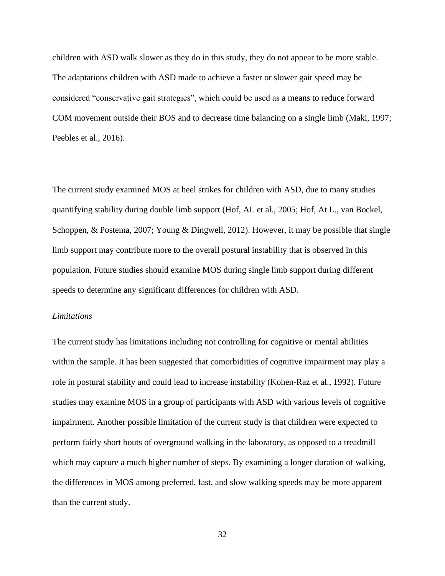children with ASD walk slower as they do in this study, they do not appear to be more stable. The adaptations children with ASD made to achieve a faster or slower gait speed may be considered "conservative gait strategies", which could be used as a means to reduce forward COM movement outside their BOS and to decrease time balancing on a single limb (Maki, 1997; Peebles et al., 2016).

The current study examined MOS at heel strikes for children with ASD, due to many studies quantifying stability during double limb support (Hof, AL et al., 2005; Hof, At L., van Bockel, Schoppen, & Postema, 2007; Young & Dingwell, 2012). However, it may be possible that single limb support may contribute more to the overall postural instability that is observed in this population. Future studies should examine MOS during single limb support during different speeds to determine any significant differences for children with ASD.

## *Limitations*

The current study has limitations including not controlling for cognitive or mental abilities within the sample. It has been suggested that comorbidities of cognitive impairment may play a role in postural stability and could lead to increase instability (Kohen-Raz et al., 1992). Future studies may examine MOS in a group of participants with ASD with various levels of cognitive impairment. Another possible limitation of the current study is that children were expected to perform fairly short bouts of overground walking in the laboratory, as opposed to a treadmill which may capture a much higher number of steps. By examining a longer duration of walking, the differences in MOS among preferred, fast, and slow walking speeds may be more apparent than the current study.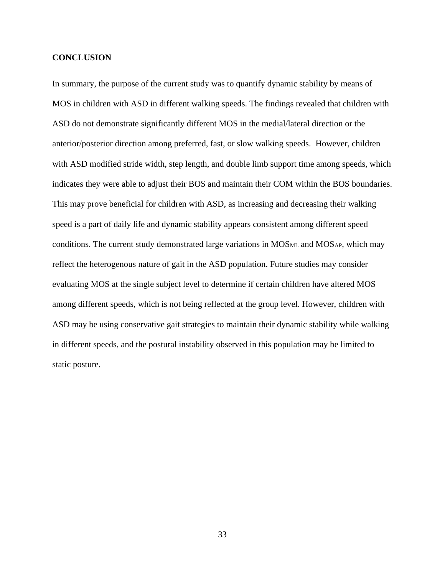### **CONCLUSION**

In summary, the purpose of the current study was to quantify dynamic stability by means of MOS in children with ASD in different walking speeds. The findings revealed that children with ASD do not demonstrate significantly different MOS in the medial/lateral direction or the anterior/posterior direction among preferred, fast, or slow walking speeds. However, children with ASD modified stride width, step length, and double limb support time among speeds, which indicates they were able to adjust their BOS and maintain their COM within the BOS boundaries. This may prove beneficial for children with ASD, as increasing and decreasing their walking speed is a part of daily life and dynamic stability appears consistent among different speed conditions. The current study demonstrated large variations in  $MOS<sub>ML</sub>$  and  $MOS<sub>AP</sub>$ , which may reflect the heterogenous nature of gait in the ASD population. Future studies may consider evaluating MOS at the single subject level to determine if certain children have altered MOS among different speeds, which is not being reflected at the group level. However, children with ASD may be using conservative gait strategies to maintain their dynamic stability while walking in different speeds, and the postural instability observed in this population may be limited to static posture.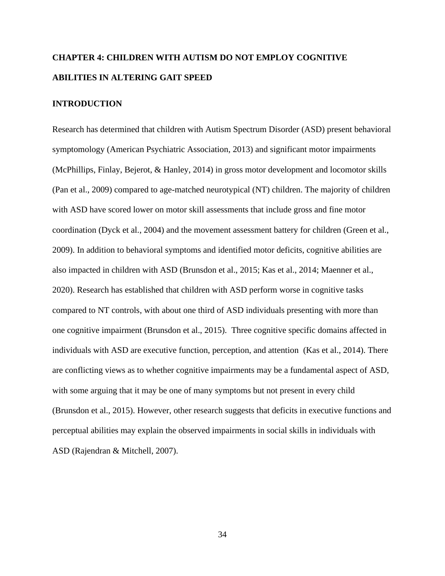# **CHAPTER 4: CHILDREN WITH AUTISM DO NOT EMPLOY COGNITIVE ABILITIES IN ALTERING GAIT SPEED**

## **INTRODUCTION**

Research has determined that children with Autism Spectrum Disorder (ASD) present behavioral symptomology (American Psychiatric Association, 2013) and significant motor impairments (McPhillips, Finlay, Bejerot, & Hanley, 2014) in gross motor development and locomotor skills (Pan et al., 2009) compared to age-matched neurotypical (NT) children. The majority of children with ASD have scored lower on motor skill assessments that include gross and fine motor coordination (Dyck et al., 2004) and the movement assessment battery for children (Green et al., 2009). In addition to behavioral symptoms and identified motor deficits, cognitive abilities are also impacted in children with ASD (Brunsdon et al., 2015; Kas et al., 2014; Maenner et al., 2020). Research has established that children with ASD perform worse in cognitive tasks compared to NT controls, with about one third of ASD individuals presenting with more than one cognitive impairment (Brunsdon et al., 2015). Three cognitive specific domains affected in individuals with ASD are executive function, perception, and attention (Kas et al., 2014). There are conflicting views as to whether cognitive impairments may be a fundamental aspect of ASD, with some arguing that it may be one of many symptoms but not present in every child (Brunsdon et al., 2015). However, other research suggests that deficits in executive functions and perceptual abilities may explain the observed impairments in social skills in individuals with ASD (Rajendran & Mitchell, 2007).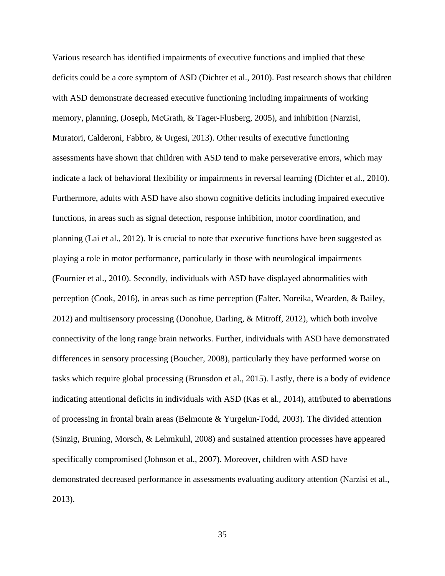Various research has identified impairments of executive functions and implied that these deficits could be a core symptom of ASD (Dichter et al., 2010). Past research shows that children with ASD demonstrate decreased executive functioning including impairments of working memory, planning, (Joseph, McGrath, & Tager-Flusberg, 2005), and inhibition (Narzisi, Muratori, Calderoni, Fabbro, & Urgesi, 2013). Other results of executive functioning assessments have shown that children with ASD tend to make perseverative errors, which may indicate a lack of behavioral flexibility or impairments in reversal learning (Dichter et al., 2010). Furthermore, adults with ASD have also shown cognitive deficits including impaired executive functions, in areas such as signal detection, response inhibition, motor coordination, and planning (Lai et al., 2012). It is crucial to note that executive functions have been suggested as playing a role in motor performance, particularly in those with neurological impairments (Fournier et al., 2010). Secondly, individuals with ASD have displayed abnormalities with perception (Cook, 2016), in areas such as time perception (Falter, Noreika, Wearden, & Bailey, 2012) and multisensory processing (Donohue, Darling, & Mitroff, 2012), which both involve connectivity of the long range brain networks. Further, individuals with ASD have demonstrated differences in sensory processing (Boucher, 2008), particularly they have performed worse on tasks which require global processing (Brunsdon et al., 2015). Lastly, there is a body of evidence indicating attentional deficits in individuals with ASD (Kas et al., 2014), attributed to aberrations of processing in frontal brain areas (Belmonte & Yurgelun-Todd, 2003). The divided attention (Sinzig, Bruning, Morsch, & Lehmkuhl, 2008) and sustained attention processes have appeared specifically compromised (Johnson et al., 2007). Moreover, children with ASD have demonstrated decreased performance in assessments evaluating auditory attention (Narzisi et al., 2013).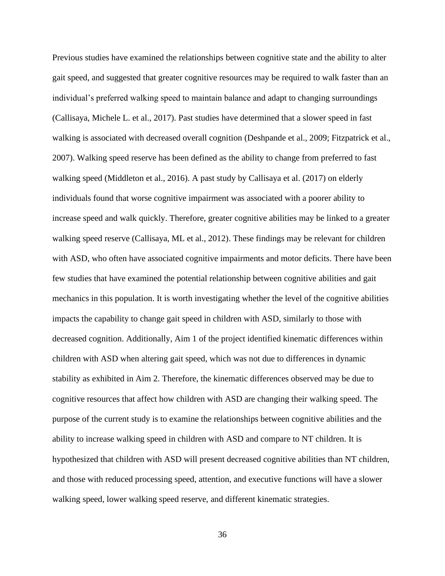Previous studies have examined the relationships between cognitive state and the ability to alter gait speed, and suggested that greater cognitive resources may be required to walk faster than an individual's preferred walking speed to maintain balance and adapt to changing surroundings (Callisaya, Michele L. et al., 2017). Past studies have determined that a slower speed in fast walking is associated with decreased overall cognition (Deshpande et al., 2009; Fitzpatrick et al., 2007). Walking speed reserve has been defined as the ability to change from preferred to fast walking speed (Middleton et al., 2016). A past study by Callisaya et al. (2017) on elderly individuals found that worse cognitive impairment was associated with a poorer ability to increase speed and walk quickly. Therefore, greater cognitive abilities may be linked to a greater walking speed reserve (Callisaya, ML et al., 2012). These findings may be relevant for children with ASD, who often have associated cognitive impairments and motor deficits. There have been few studies that have examined the potential relationship between cognitive abilities and gait mechanics in this population. It is worth investigating whether the level of the cognitive abilities impacts the capability to change gait speed in children with ASD, similarly to those with decreased cognition. Additionally, Aim 1 of the project identified kinematic differences within children with ASD when altering gait speed, which was not due to differences in dynamic stability as exhibited in Aim 2. Therefore, the kinematic differences observed may be due to cognitive resources that affect how children with ASD are changing their walking speed. The purpose of the current study is to examine the relationships between cognitive abilities and the ability to increase walking speed in children with ASD and compare to NT children. It is hypothesized that children with ASD will present decreased cognitive abilities than NT children, and those with reduced processing speed, attention, and executive functions will have a slower walking speed, lower walking speed reserve, and different kinematic strategies.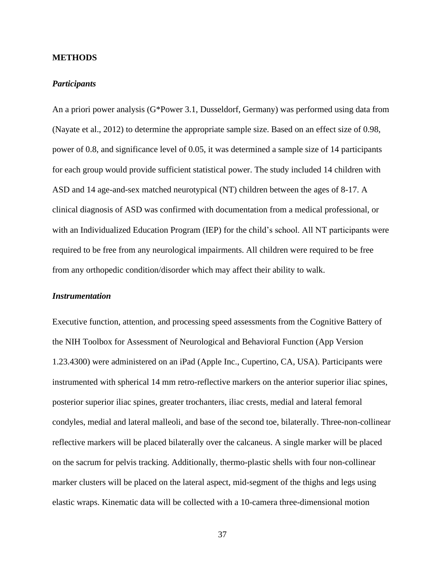## **METHODS**

## *Participants*

An a priori power analysis (G\*Power 3.1, Dusseldorf, Germany) was performed using data from (Nayate et al., 2012) to determine the appropriate sample size. Based on an effect size of 0.98, power of 0.8, and significance level of 0.05, it was determined a sample size of 14 participants for each group would provide sufficient statistical power. The study included 14 children with ASD and 14 age-and-sex matched neurotypical (NT) children between the ages of 8-17. A clinical diagnosis of ASD was confirmed with documentation from a medical professional, or with an Individualized Education Program (IEP) for the child's school. All NT participants were required to be free from any neurological impairments. All children were required to be free from any orthopedic condition/disorder which may affect their ability to walk.

## *Instrumentation*

Executive function, attention, and processing speed assessments from the Cognitive Battery of the NIH Toolbox for Assessment of Neurological and Behavioral Function (App Version 1.23.4300) were administered on an iPad (Apple Inc., Cupertino, CA, USA). Participants were instrumented with spherical 14 mm retro-reflective markers on the anterior superior iliac spines, posterior superior iliac spines, greater trochanters, iliac crests, medial and lateral femoral condyles, medial and lateral malleoli, and base of the second toe, bilaterally. Three-non-collinear reflective markers will be placed bilaterally over the calcaneus. A single marker will be placed on the sacrum for pelvis tracking. Additionally, thermo-plastic shells with four non-collinear marker clusters will be placed on the lateral aspect, mid-segment of the thighs and legs using elastic wraps. Kinematic data will be collected with a 10-camera three-dimensional motion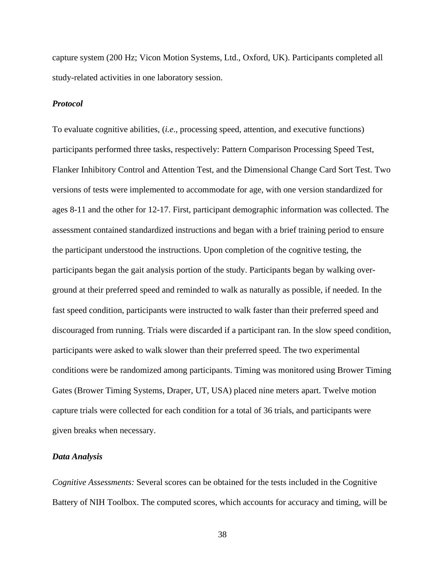capture system (200 Hz; Vicon Motion Systems, Ltd., Oxford, UK). Participants completed all study-related activities in one laboratory session.

## *Protocol*

To evaluate cognitive abilities, (*i.e*., processing speed, attention, and executive functions) participants performed three tasks, respectively: Pattern Comparison Processing Speed Test, Flanker Inhibitory Control and Attention Test, and the Dimensional Change Card Sort Test. Two versions of tests were implemented to accommodate for age, with one version standardized for ages 8-11 and the other for 12-17. First, participant demographic information was collected. The assessment contained standardized instructions and began with a brief training period to ensure the participant understood the instructions. Upon completion of the cognitive testing, the participants began the gait analysis portion of the study. Participants began by walking overground at their preferred speed and reminded to walk as naturally as possible, if needed. In the fast speed condition, participants were instructed to walk faster than their preferred speed and discouraged from running. Trials were discarded if a participant ran. In the slow speed condition, participants were asked to walk slower than their preferred speed. The two experimental conditions were be randomized among participants. Timing was monitored using Brower Timing Gates (Brower Timing Systems, Draper, UT, USA) placed nine meters apart. Twelve motion capture trials were collected for each condition for a total of 36 trials, and participants were given breaks when necessary.

## *Data Analysis*

*Cognitive Assessments:* Several scores can be obtained for the tests included in the Cognitive Battery of NIH Toolbox. The computed scores, which accounts for accuracy and timing, will be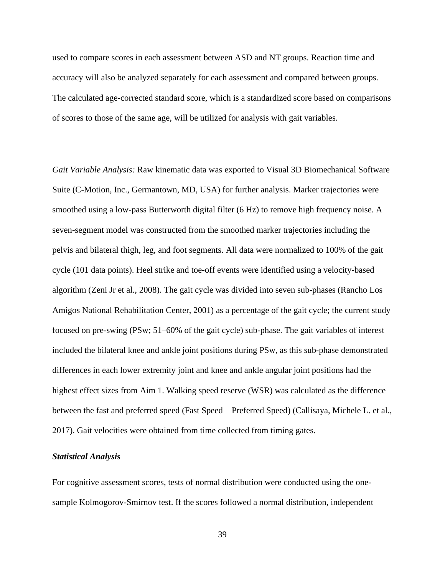used to compare scores in each assessment between ASD and NT groups. Reaction time and accuracy will also be analyzed separately for each assessment and compared between groups. The calculated age-corrected standard score, which is a standardized score based on comparisons of scores to those of the same age, will be utilized for analysis with gait variables.

*Gait Variable Analysis:* Raw kinematic data was exported to Visual 3D Biomechanical Software Suite (C-Motion, Inc., Germantown, MD, USA) for further analysis. Marker trajectories were smoothed using a low-pass Butterworth digital filter (6 Hz) to remove high frequency noise. A seven-segment model was constructed from the smoothed marker trajectories including the pelvis and bilateral thigh, leg, and foot segments. All data were normalized to 100% of the gait cycle (101 data points). Heel strike and toe-off events were identified using a velocity-based algorithm (Zeni Jr et al., 2008). The gait cycle was divided into seven sub-phases (Rancho Los Amigos National Rehabilitation Center, 2001) as a percentage of the gait cycle; the current study focused on pre-swing (PSw; 51–60% of the gait cycle) sub-phase. The gait variables of interest included the bilateral knee and ankle joint positions during PSw, as this sub-phase demonstrated differences in each lower extremity joint and knee and ankle angular joint positions had the highest effect sizes from Aim 1. Walking speed reserve (WSR) was calculated as the difference between the fast and preferred speed (Fast Speed – Preferred Speed) (Callisaya, Michele L. et al., 2017). Gait velocities were obtained from time collected from timing gates.

## *Statistical Analysis*

For cognitive assessment scores, tests of normal distribution were conducted using the onesample Kolmogorov-Smirnov test. If the scores followed a normal distribution, independent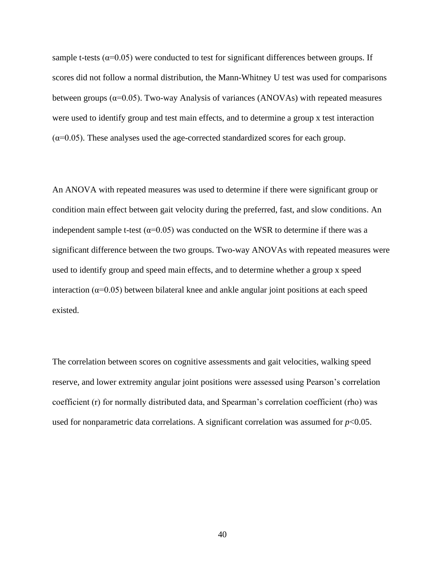sample t-tests ( $\alpha$ =0.05) were conducted to test for significant differences between groups. If scores did not follow a normal distribution, the Mann-Whitney U test was used for comparisons between groups ( $\alpha$ =0.05). Two-way Analysis of variances (ANOVAs) with repeated measures were used to identify group and test main effects, and to determine a group x test interaction  $(\alpha=0.05)$ . These analyses used the age-corrected standardized scores for each group.

An ANOVA with repeated measures was used to determine if there were significant group or condition main effect between gait velocity during the preferred, fast, and slow conditions. An independent sample t-test ( $\alpha$ =0.05) was conducted on the WSR to determine if there was a significant difference between the two groups. Two-way ANOVAs with repeated measures were used to identify group and speed main effects, and to determine whether a group x speed interaction ( $\alpha$ =0.05) between bilateral knee and ankle angular joint positions at each speed existed.

The correlation between scores on cognitive assessments and gait velocities, walking speed reserve, and lower extremity angular joint positions were assessed using Pearson's correlation coefficient (r) for normally distributed data, and Spearman's correlation coefficient (rho) was used for nonparametric data correlations. A significant correlation was assumed for  $p<0.05$ .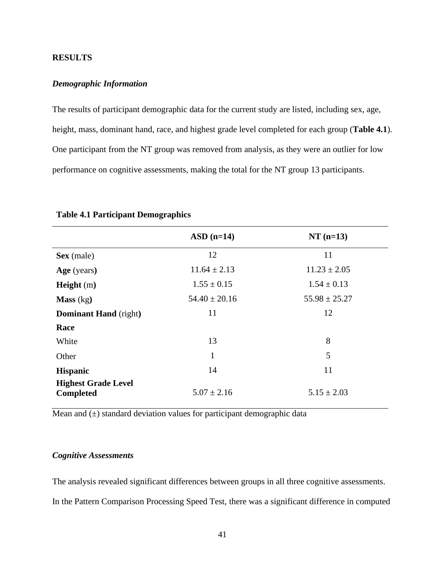# **RESULTS**

## *Demographic Information*

The results of participant demographic data for the current study are listed, including sex, age, height, mass, dominant hand, race, and highest grade level completed for each group (**Table 4.1**). One participant from the NT group was removed from analysis, as they were an outlier for low performance on cognitive assessments, making the total for the NT group 13 participants.

|                                                | $ASD$ (n=14)      | $NT(n=13)$        |
|------------------------------------------------|-------------------|-------------------|
| Sex (male)                                     | 12                | 11                |
| Age (years)                                    | $11.64 \pm 2.13$  | $11.23 \pm 2.05$  |
| <b>Height</b> $(m)$                            | $1.55 \pm 0.15$   | $1.54 \pm 0.13$   |
| Mass (kg)                                      | $54.40 \pm 20.16$ | $55.98 \pm 25.27$ |
| <b>Dominant Hand</b> (right)                   | 11                | 12                |
| Race                                           |                   |                   |
| White                                          | 13                | 8                 |
| Other                                          | 1                 | 5                 |
| <b>Hispanic</b>                                | 14                | 11                |
| <b>Highest Grade Level</b><br><b>Completed</b> | $5.07 \pm 2.16$   | $5.15 \pm 2.03$   |

#### **Table 4.1 Participant Demographics**

Mean and  $(\pm)$  standard deviation values for participant demographic data

## *Cognitive Assessments*

The analysis revealed significant differences between groups in all three cognitive assessments.

In the Pattern Comparison Processing Speed Test, there was a significant difference in computed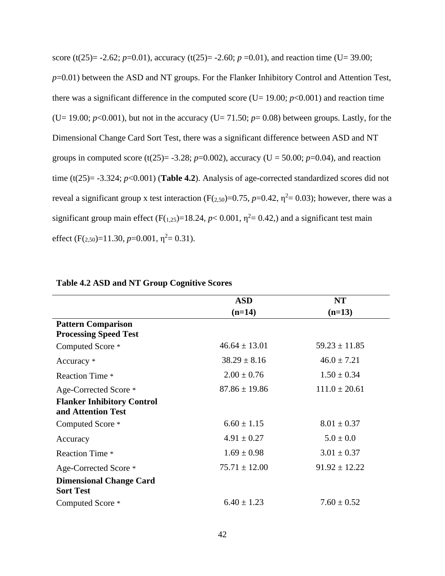score (t(25)= -2.62; *p*=0.01), accuracy (t(25)= -2.60; *p* =0.01), and reaction time (U= 39.00; *p*=0.01) between the ASD and NT groups. For the Flanker Inhibitory Control and Attention Test, there was a significant difference in the computed score (U=  $19.00$ ;  $p<0.001$ ) and reaction time (U= 19.00;  $p<0.001$ ), but not in the accuracy (U= 71.50;  $p=0.08$ ) between groups. Lastly, for the Dimensional Change Card Sort Test, there was a significant difference between ASD and NT groups in computed score (t(25)= -3.28; *p*=0.002), accuracy (U = 50.00; *p*=0.04), and reaction time (t(25)=  $-3.324$ ; *p*<0.001) (**Table 4.2**). Analysis of age-corrected standardized scores did not reveal a significant group x test interaction ( $F(2,50)=0.75$ ,  $p=0.42$ ,  $\eta^2=0.03$ ); however, there was a significant group main effect  $(F(1,25)=18.24, p< 0.001, \eta^2=0.42)$  and a significant test main effect (F( $_{2,50}$ )=11.30,  $p$ =0.001,  $\eta$ <sup>2</sup>= 0.31).

|                                                         | <b>ASD</b>        | <b>NT</b>         |
|---------------------------------------------------------|-------------------|-------------------|
|                                                         | $(n=14)$          | $(n=13)$          |
| <b>Pattern Comparison</b>                               |                   |                   |
| <b>Processing Speed Test</b>                            |                   |                   |
| Computed Score *                                        | $46.64 \pm 13.01$ | $59.23 \pm 11.85$ |
| Accuracy *                                              | $38.29 \pm 8.16$  | $46.0 \pm 7.21$   |
| <b>Reaction Time *</b>                                  | $2.00 \pm 0.76$   | $1.50 \pm 0.34$   |
| Age-Corrected Score *                                   | $87.86 \pm 19.86$ | $111.0 \pm 20.61$ |
| <b>Flanker Inhibitory Control</b><br>and Attention Test |                   |                   |
| Computed Score *                                        | $6.60 \pm 1.15$   | $8.01 \pm 0.37$   |
| Accuracy                                                | $4.91 \pm 0.27$   | $5.0 \pm 0.0$     |
| <b>Reaction Time *</b>                                  | $1.69 \pm 0.98$   | $3.01 \pm 0.37$   |
| Age-Corrected Score *                                   | $75.71 \pm 12.00$ | $91.92 \pm 12.22$ |
| <b>Dimensional Change Card</b><br><b>Sort Test</b>      |                   |                   |
| Computed Score *                                        | $6.40 \pm 1.23$   | $7.60 \pm 0.52$   |

#### **Table 4.2 ASD and NT Group Cognitive Scores**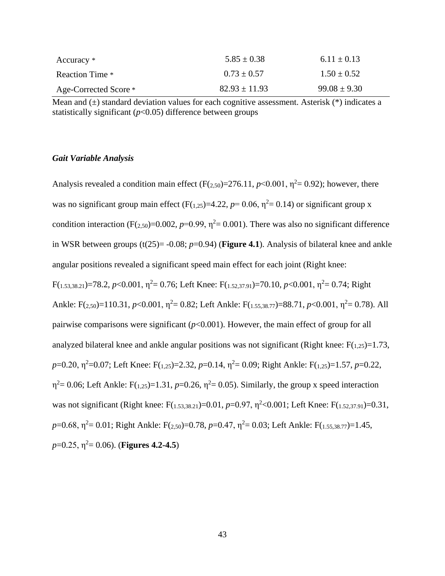| Accuracy *            | $5.85 \pm 0.38$   | $6.11 \pm 0.13$  |
|-----------------------|-------------------|------------------|
| Reaction Time *       | $0.73 \pm 0.57$   | $1.50 + 0.52$    |
| Age-Corrected Score * | $82.93 \pm 11.93$ | $99.08 \pm 9.30$ |

Mean and  $(\pm)$  standard deviation values for each cognitive assessment. Asterisk  $(*)$  indicates a statistically significant  $(p<0.05)$  difference between groups

## *Gait Variable Analysis*

Analysis revealed a condition main effect  $(F(2,50)=276.11, p<0.001, \eta^2=0.92)$ ; however, there was no significant group main effect  $(F(1,25)=4.22, p=0.06, \eta^2=0.14)$  or significant group x condition interaction (F( $_{2,50}$ )=0.002, *p*=0.99,  $\eta$ <sup>2</sup>= 0.001). There was also no significant difference in WSR between groups  $(t(25) = -0.08; p=0.94)$  (**Figure 4.1**). Analysis of bilateral knee and ankle angular positions revealed a significant speed main effect for each joint (Right knee:  $F(1.53,38.21)=78.2, p<0.001, \eta^2=0.76$ ; Left Knee:  $F(1.52,37.91)=70.10, p<0.001, \eta^2=0.74$ ; Right Ankle: F(2,50)=110.31, *p*<0.001,  $\eta^2$ = 0.82; Left Ankle: F(1,55,38,77)=88.71, *p*<0.001,  $\eta^2$ = 0.78). All pairwise comparisons were significant  $(p<0.001)$ . However, the main effect of group for all analyzed bilateral knee and ankle angular positions was not significant (Right knee:  $F(1,25)=1.73$ , *p*=0.20, η<sup>2</sup>=0.07; Left Knee: F(<sub>1,25</sub>)=2.32, *p*=0.14, η<sup>2</sup>= 0.09; Right Ankle: F(<sub>1,25</sub>)=1.57, *p*=0.22,  $\eta^2$  = 0.06; Left Ankle: F(1,25)=1.31, p=0.26,  $\eta^2$  = 0.05). Similarly, the group x speed interaction was not significant (Right knee: F(<sub>1.53,38,21</sub>)=0.01, *p*=0.97, η<sup>2</sup><0.001; Left Knee: F(<sub>1,52,37,91</sub>)=0.31,  $p=0.68$ ,  $\eta^2=0.01$ ; Right Ankle: F(2,50)=0.78,  $p=0.47$ ,  $\eta^2=0.03$ ; Left Ankle: F(1,55,38.77)=1.45,  $p=0.25$ ,  $\eta^2=0.06$ ). (**Figures 4.2-4.5**)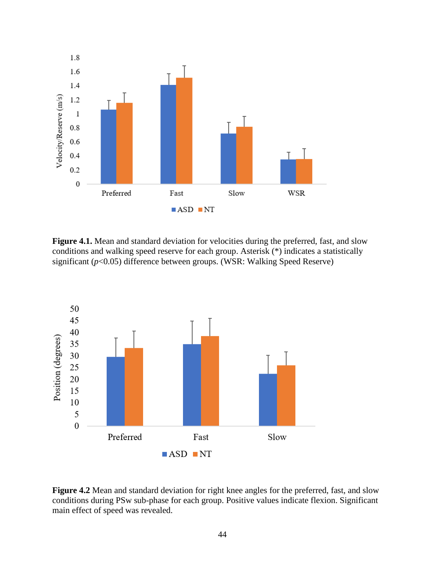

**Figure 4.1.** Mean and standard deviation for velocities during the preferred, fast, and slow conditions and walking speed reserve for each group. Asterisk (\*) indicates a statistically significant (*p*<0.05) difference between groups. (WSR: Walking Speed Reserve)



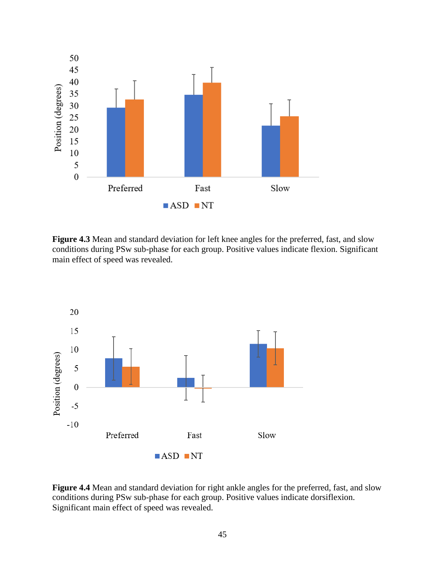

**Figure 4.3** Mean and standard deviation for left knee angles for the preferred, fast, and slow conditions during PSw sub-phase for each group. Positive values indicate flexion. Significant main effect of speed was revealed.



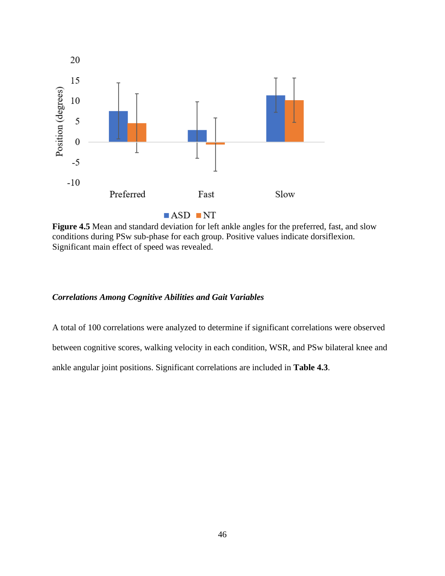

**Figure 4.5** Mean and standard deviation for left ankle angles for the preferred, fast, and slow conditions during PSw sub-phase for each group. Positive values indicate dorsiflexion. Significant main effect of speed was revealed.

# *Correlations Among Cognitive Abilities and Gait Variables*

A total of 100 correlations were analyzed to determine if significant correlations were observed between cognitive scores, walking velocity in each condition, WSR, and PSw bilateral knee and ankle angular joint positions. Significant correlations are included in **Table 4.3**.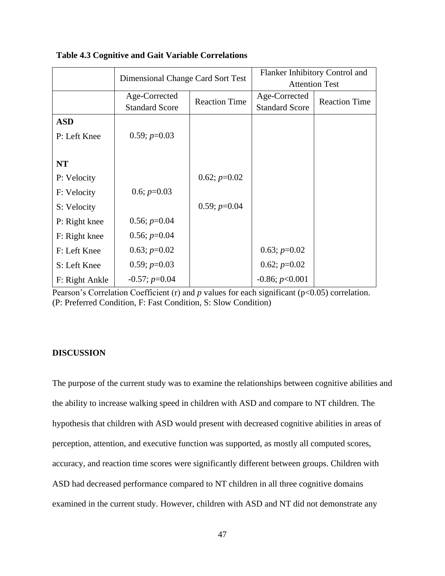|                | Dimensional Change Card Sort Test      |                      | Flanker Inhibitory Control and<br><b>Attention Test</b> |                      |
|----------------|----------------------------------------|----------------------|---------------------------------------------------------|----------------------|
|                | Age-Corrected<br><b>Standard Score</b> | <b>Reaction Time</b> | Age-Corrected<br><b>Standard Score</b>                  | <b>Reaction Time</b> |
| <b>ASD</b>     |                                        |                      |                                                         |                      |
| P: Left Knee   | $0.59; p=0.03$                         |                      |                                                         |                      |
|                |                                        |                      |                                                         |                      |
| <b>NT</b>      |                                        |                      |                                                         |                      |
| P: Velocity    |                                        | $0.62; p=0.02$       |                                                         |                      |
| F: Velocity    | 0.6; $p=0.03$                          |                      |                                                         |                      |
| S: Velocity    |                                        | $0.59; p=0.04$       |                                                         |                      |
| P: Right knee  | $0.56; p=0.04$                         |                      |                                                         |                      |
| F: Right knee  | $0.56; p=0.04$                         |                      |                                                         |                      |
| F: Left Knee   | $0.63; p=0.02$                         |                      | $0.63; p=0.02$                                          |                      |
| S: Left Knee   | $0.59; p=0.03$                         |                      | $0.62; p=0.02$                                          |                      |
| F: Right Ankle | $-0.57; p=0.04$                        |                      | $-0.86; p<0.001$                                        |                      |

| <b>Table 4.3 Cognitive and Gait Variable Correlations</b> |  |  |  |  |  |
|-----------------------------------------------------------|--|--|--|--|--|
|-----------------------------------------------------------|--|--|--|--|--|

Pearson's Correlation Coefficient (r) and *p* values for each significant (p<0.05) correlation. (P: Preferred Condition, F: Fast Condition, S: Slow Condition)

# **DISCUSSION**

The purpose of the current study was to examine the relationships between cognitive abilities and the ability to increase walking speed in children with ASD and compare to NT children. The hypothesis that children with ASD would present with decreased cognitive abilities in areas of perception, attention, and executive function was supported, as mostly all computed scores, accuracy, and reaction time scores were significantly different between groups. Children with ASD had decreased performance compared to NT children in all three cognitive domains examined in the current study. However, children with ASD and NT did not demonstrate any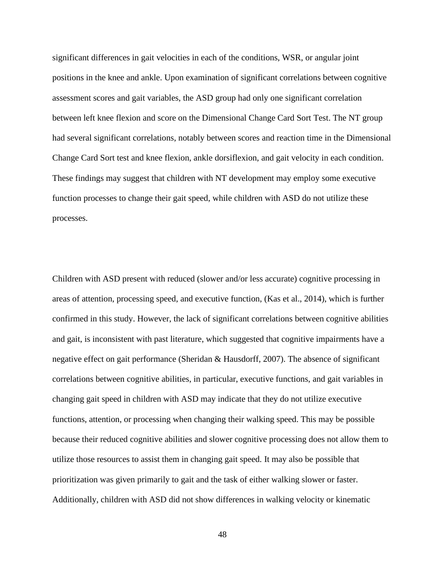significant differences in gait velocities in each of the conditions, WSR, or angular joint positions in the knee and ankle. Upon examination of significant correlations between cognitive assessment scores and gait variables, the ASD group had only one significant correlation between left knee flexion and score on the Dimensional Change Card Sort Test. The NT group had several significant correlations, notably between scores and reaction time in the Dimensional Change Card Sort test and knee flexion, ankle dorsiflexion, and gait velocity in each condition. These findings may suggest that children with NT development may employ some executive function processes to change their gait speed, while children with ASD do not utilize these processes.

Children with ASD present with reduced (slower and/or less accurate) cognitive processing in areas of attention, processing speed, and executive function, (Kas et al., 2014), which is further confirmed in this study. However, the lack of significant correlations between cognitive abilities and gait, is inconsistent with past literature, which suggested that cognitive impairments have a negative effect on gait performance (Sheridan & Hausdorff, 2007). The absence of significant correlations between cognitive abilities, in particular, executive functions, and gait variables in changing gait speed in children with ASD may indicate that they do not utilize executive functions, attention, or processing when changing their walking speed. This may be possible because their reduced cognitive abilities and slower cognitive processing does not allow them to utilize those resources to assist them in changing gait speed. It may also be possible that prioritization was given primarily to gait and the task of either walking slower or faster. Additionally, children with ASD did not show differences in walking velocity or kinematic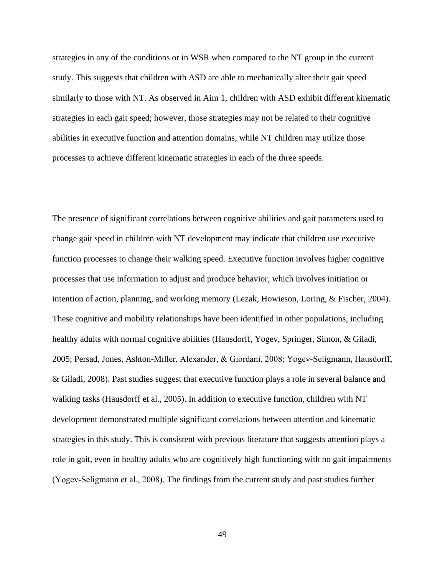strategies in any of the conditions or in WSR when compared to the NT group in the current study. This suggests that children with ASD are able to mechanically alter their gait speed similarly to those with NT. As observed in Aim 1, children with ASD exhibit different kinematic strategies in each gait speed; however, those strategies may not be related to their cognitive abilities in executive function and attention domains, while NT children may utilize those processes to achieve different kinematic strategies in each of the three speeds.

The presence of significant correlations between cognitive abilities and gait parameters used to change gait speed in children with NT development may indicate that children use executive function processes to change their walking speed. Executive function involves higher cognitive processes that use information to adjust and produce behavior, which involves initiation or intention of action, planning, and working memory (Lezak, Howieson, Loring, & Fischer, 2004). These cognitive and mobility relationships have been identified in other populations, including healthy adults with normal cognitive abilities (Hausdorff, Yogev, Springer, Simon, & Giladi, 2005; Persad, Jones, Ashton-Miller, Alexander, & Giordani, 2008; Yogev‐Seligmann, Hausdorff, & Giladi, 2008). Past studies suggest that executive function plays a role in several balance and walking tasks (Hausdorff et al., 2005). In addition to executive function, children with NT development demonstrated multiple significant correlations between attention and kinematic strategies in this study. This is consistent with previous literature that suggests attention plays a role in gait, even in healthy adults who are cognitively high functioning with no gait impairments (Yogev‐Seligmann et al., 2008). The findings from the current study and past studies further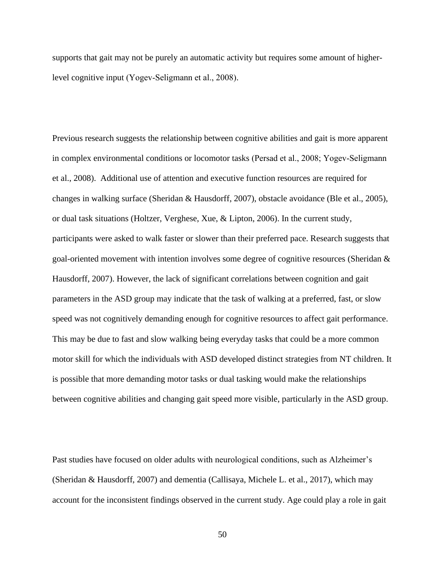supports that gait may not be purely an automatic activity but requires some amount of higherlevel cognitive input (Yogev‐Seligmann et al., 2008).

Previous research suggests the relationship between cognitive abilities and gait is more apparent in complex environmental conditions or locomotor tasks (Persad et al., 2008; Yogev-Seligmann et al., 2008). Additional use of attention and executive function resources are required for changes in walking surface (Sheridan & Hausdorff, 2007), obstacle avoidance (Ble et al., 2005), or dual task situations (Holtzer, Verghese, Xue, & Lipton, 2006). In the current study, participants were asked to walk faster or slower than their preferred pace. Research suggests that goal-oriented movement with intention involves some degree of cognitive resources (Sheridan & Hausdorff, 2007). However, the lack of significant correlations between cognition and gait parameters in the ASD group may indicate that the task of walking at a preferred, fast, or slow speed was not cognitively demanding enough for cognitive resources to affect gait performance. This may be due to fast and slow walking being everyday tasks that could be a more common motor skill for which the individuals with ASD developed distinct strategies from NT children. It is possible that more demanding motor tasks or dual tasking would make the relationships between cognitive abilities and changing gait speed more visible, particularly in the ASD group.

Past studies have focused on older adults with neurological conditions, such as Alzheimer's (Sheridan & Hausdorff, 2007) and dementia (Callisaya, Michele L. et al., 2017), which may account for the inconsistent findings observed in the current study. Age could play a role in gait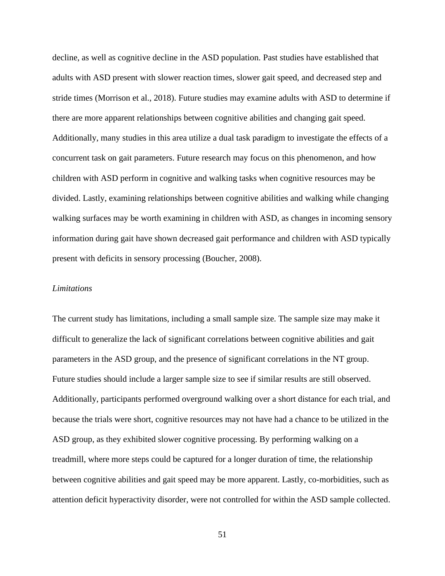decline, as well as cognitive decline in the ASD population. Past studies have established that adults with ASD present with slower reaction times, slower gait speed, and decreased step and stride times (Morrison et al., 2018). Future studies may examine adults with ASD to determine if there are more apparent relationships between cognitive abilities and changing gait speed. Additionally, many studies in this area utilize a dual task paradigm to investigate the effects of a concurrent task on gait parameters. Future research may focus on this phenomenon, and how children with ASD perform in cognitive and walking tasks when cognitive resources may be divided. Lastly, examining relationships between cognitive abilities and walking while changing walking surfaces may be worth examining in children with ASD, as changes in incoming sensory information during gait have shown decreased gait performance and children with ASD typically present with deficits in sensory processing (Boucher, 2008).

## *Limitations*

The current study has limitations, including a small sample size. The sample size may make it difficult to generalize the lack of significant correlations between cognitive abilities and gait parameters in the ASD group, and the presence of significant correlations in the NT group. Future studies should include a larger sample size to see if similar results are still observed. Additionally, participants performed overground walking over a short distance for each trial, and because the trials were short, cognitive resources may not have had a chance to be utilized in the ASD group, as they exhibited slower cognitive processing. By performing walking on a treadmill, where more steps could be captured for a longer duration of time, the relationship between cognitive abilities and gait speed may be more apparent. Lastly, co-morbidities, such as attention deficit hyperactivity disorder, were not controlled for within the ASD sample collected.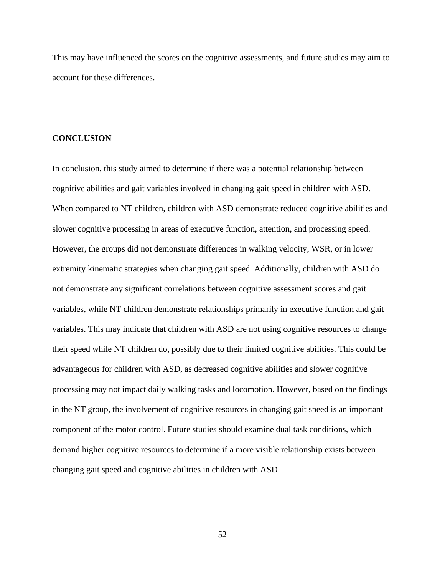This may have influenced the scores on the cognitive assessments, and future studies may aim to account for these differences.

#### **CONCLUSION**

In conclusion, this study aimed to determine if there was a potential relationship between cognitive abilities and gait variables involved in changing gait speed in children with ASD. When compared to NT children, children with ASD demonstrate reduced cognitive abilities and slower cognitive processing in areas of executive function, attention, and processing speed. However, the groups did not demonstrate differences in walking velocity, WSR, or in lower extremity kinematic strategies when changing gait speed. Additionally, children with ASD do not demonstrate any significant correlations between cognitive assessment scores and gait variables, while NT children demonstrate relationships primarily in executive function and gait variables. This may indicate that children with ASD are not using cognitive resources to change their speed while NT children do, possibly due to their limited cognitive abilities. This could be advantageous for children with ASD, as decreased cognitive abilities and slower cognitive processing may not impact daily walking tasks and locomotion. However, based on the findings in the NT group, the involvement of cognitive resources in changing gait speed is an important component of the motor control. Future studies should examine dual task conditions, which demand higher cognitive resources to determine if a more visible relationship exists between changing gait speed and cognitive abilities in children with ASD.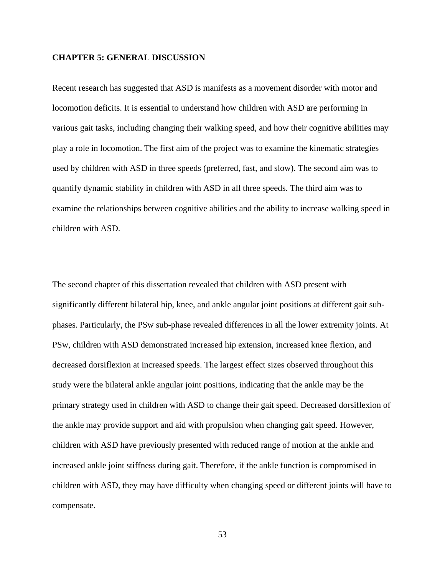#### **CHAPTER 5: GENERAL DISCUSSION**

Recent research has suggested that ASD is manifests as a movement disorder with motor and locomotion deficits. It is essential to understand how children with ASD are performing in various gait tasks, including changing their walking speed, and how their cognitive abilities may play a role in locomotion. The first aim of the project was to examine the kinematic strategies used by children with ASD in three speeds (preferred, fast, and slow). The second aim was to quantify dynamic stability in children with ASD in all three speeds. The third aim was to examine the relationships between cognitive abilities and the ability to increase walking speed in children with ASD.

The second chapter of this dissertation revealed that children with ASD present with significantly different bilateral hip, knee, and ankle angular joint positions at different gait subphases. Particularly, the PSw sub-phase revealed differences in all the lower extremity joints. At PSw, children with ASD demonstrated increased hip extension, increased knee flexion, and decreased dorsiflexion at increased speeds. The largest effect sizes observed throughout this study were the bilateral ankle angular joint positions, indicating that the ankle may be the primary strategy used in children with ASD to change their gait speed. Decreased dorsiflexion of the ankle may provide support and aid with propulsion when changing gait speed. However, children with ASD have previously presented with reduced range of motion at the ankle and increased ankle joint stiffness during gait. Therefore, if the ankle function is compromised in children with ASD, they may have difficulty when changing speed or different joints will have to compensate.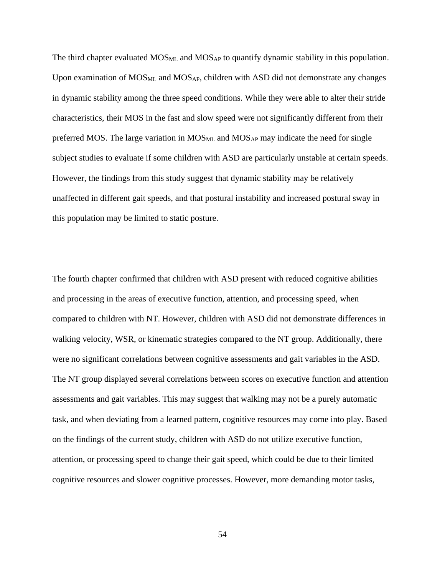The third chapter evaluated  $MOS<sub>ML</sub>$  and  $MOS<sub>AP</sub>$  to quantify dynamic stability in this population. Upon examination of  $MOS_{ML}$  and  $MOS_{AP}$ , children with ASD did not demonstrate any changes in dynamic stability among the three speed conditions. While they were able to alter their stride characteristics, their MOS in the fast and slow speed were not significantly different from their preferred MOS. The large variation in  $MOS<sub>ML</sub>$  and  $MOS<sub>AP</sub>$  may indicate the need for single subject studies to evaluate if some children with ASD are particularly unstable at certain speeds. However, the findings from this study suggest that dynamic stability may be relatively unaffected in different gait speeds, and that postural instability and increased postural sway in this population may be limited to static posture.

The fourth chapter confirmed that children with ASD present with reduced cognitive abilities and processing in the areas of executive function, attention, and processing speed, when compared to children with NT. However, children with ASD did not demonstrate differences in walking velocity, WSR, or kinematic strategies compared to the NT group. Additionally, there were no significant correlations between cognitive assessments and gait variables in the ASD. The NT group displayed several correlations between scores on executive function and attention assessments and gait variables. This may suggest that walking may not be a purely automatic task, and when deviating from a learned pattern, cognitive resources may come into play. Based on the findings of the current study, children with ASD do not utilize executive function, attention, or processing speed to change their gait speed, which could be due to their limited cognitive resources and slower cognitive processes. However, more demanding motor tasks,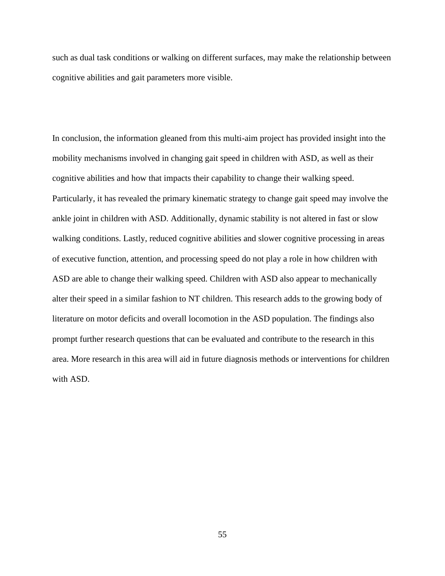such as dual task conditions or walking on different surfaces, may make the relationship between cognitive abilities and gait parameters more visible.

In conclusion, the information gleaned from this multi-aim project has provided insight into the mobility mechanisms involved in changing gait speed in children with ASD, as well as their cognitive abilities and how that impacts their capability to change their walking speed. Particularly, it has revealed the primary kinematic strategy to change gait speed may involve the ankle joint in children with ASD. Additionally, dynamic stability is not altered in fast or slow walking conditions. Lastly, reduced cognitive abilities and slower cognitive processing in areas of executive function, attention, and processing speed do not play a role in how children with ASD are able to change their walking speed. Children with ASD also appear to mechanically alter their speed in a similar fashion to NT children. This research adds to the growing body of literature on motor deficits and overall locomotion in the ASD population. The findings also prompt further research questions that can be evaluated and contribute to the research in this area. More research in this area will aid in future diagnosis methods or interventions for children with ASD.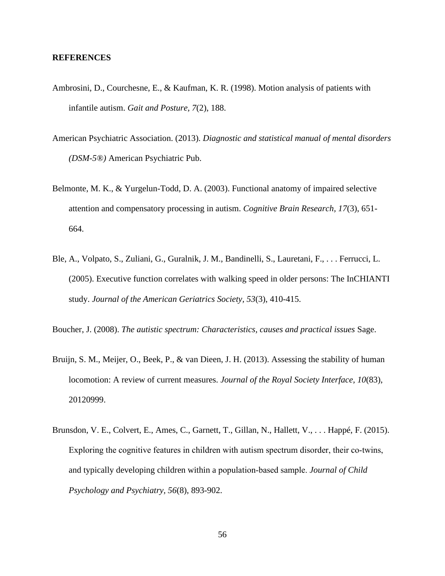## **REFERENCES**

- Ambrosini, D., Courchesne, E., & Kaufman, K. R. (1998). Motion analysis of patients with infantile autism. *Gait and Posture, 7*(2), 188.
- American Psychiatric Association. (2013). *Diagnostic and statistical manual of mental disorders (DSM-5®)* American Psychiatric Pub.
- Belmonte, M. K., & Yurgelun-Todd, D. A. (2003). Functional anatomy of impaired selective attention and compensatory processing in autism. *Cognitive Brain Research, 17*(3), 651- 664.
- Ble, A., Volpato, S., Zuliani, G., Guralnik, J. M., Bandinelli, S., Lauretani, F., . . . Ferrucci, L. (2005). Executive function correlates with walking speed in older persons: The InCHIANTI study. *Journal of the American Geriatrics Society, 53*(3), 410-415.

Boucher, J. (2008). *The autistic spectrum: Characteristics, causes and practical issues* Sage.

- Bruijn, S. M., Meijer, O., Beek, P., & van Dieen, J. H. (2013). Assessing the stability of human locomotion: A review of current measures. *Journal of the Royal Society Interface, 10*(83), 20120999.
- Brunsdon, V. E., Colvert, E., Ames, C., Garnett, T., Gillan, N., Hallett, V., . . . Happé, F. (2015). Exploring the cognitive features in children with autism spectrum disorder, their co-twins, and typically developing children within a population‐based sample. *Journal of Child Psychology and Psychiatry, 56*(8), 893-902.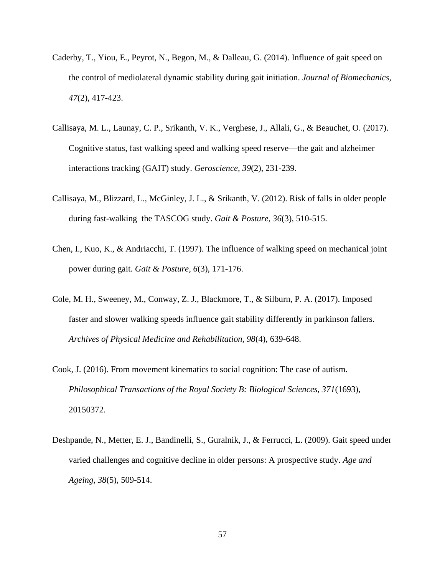- Caderby, T., Yiou, E., Peyrot, N., Begon, M., & Dalleau, G. (2014). Influence of gait speed on the control of mediolateral dynamic stability during gait initiation. *Journal of Biomechanics, 47*(2), 417-423.
- Callisaya, M. L., Launay, C. P., Srikanth, V. K., Verghese, J., Allali, G., & Beauchet, O. (2017). Cognitive status, fast walking speed and walking speed reserve—the gait and alzheimer interactions tracking (GAIT) study. *Geroscience, 39*(2), 231-239.
- Callisaya, M., Blizzard, L., McGinley, J. L., & Srikanth, V. (2012). Risk of falls in older people during fast-walking–the TASCOG study. *Gait & Posture, 36*(3), 510-515.
- Chen, I., Kuo, K., & Andriacchi, T. (1997). The influence of walking speed on mechanical joint power during gait. *Gait & Posture, 6*(3), 171-176.
- Cole, M. H., Sweeney, M., Conway, Z. J., Blackmore, T., & Silburn, P. A. (2017). Imposed faster and slower walking speeds influence gait stability differently in parkinson fallers. *Archives of Physical Medicine and Rehabilitation, 98*(4), 639-648.
- Cook, J. (2016). From movement kinematics to social cognition: The case of autism. *Philosophical Transactions of the Royal Society B: Biological Sciences, 371*(1693), 20150372.
- Deshpande, N., Metter, E. J., Bandinelli, S., Guralnik, J., & Ferrucci, L. (2009). Gait speed under varied challenges and cognitive decline in older persons: A prospective study. *Age and Ageing, 38*(5), 509-514.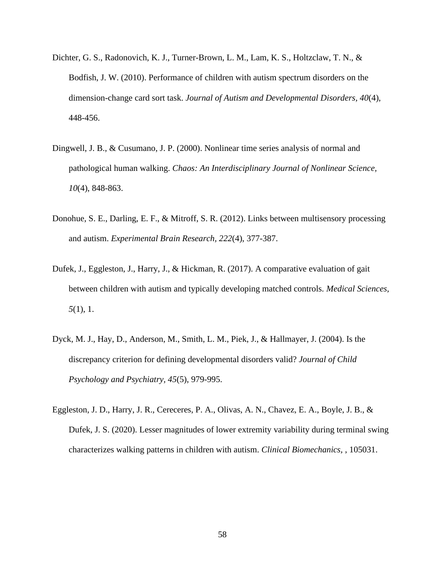- Dichter, G. S., Radonovich, K. J., Turner-Brown, L. M., Lam, K. S., Holtzclaw, T. N., & Bodfish, J. W. (2010). Performance of children with autism spectrum disorders on the dimension-change card sort task. *Journal of Autism and Developmental Disorders, 40*(4), 448-456.
- Dingwell, J. B., & Cusumano, J. P. (2000). Nonlinear time series analysis of normal and pathological human walking. *Chaos: An Interdisciplinary Journal of Nonlinear Science, 10*(4), 848-863.
- Donohue, S. E., Darling, E. F., & Mitroff, S. R. (2012). Links between multisensory processing and autism. *Experimental Brain Research, 222*(4), 377-387.
- Dufek, J., Eggleston, J., Harry, J., & Hickman, R. (2017). A comparative evaluation of gait between children with autism and typically developing matched controls. *Medical Sciences, 5*(1), 1.
- Dyck, M. J., Hay, D., Anderson, M., Smith, L. M., Piek, J., & Hallmayer, J. (2004). Is the discrepancy criterion for defining developmental disorders valid? *Journal of Child Psychology and Psychiatry, 45*(5), 979-995.
- Eggleston, J. D., Harry, J. R., Cereceres, P. A., Olivas, A. N., Chavez, E. A., Boyle, J. B., & Dufek, J. S. (2020). Lesser magnitudes of lower extremity variability during terminal swing characterizes walking patterns in children with autism. *Clinical Biomechanics,* , 105031.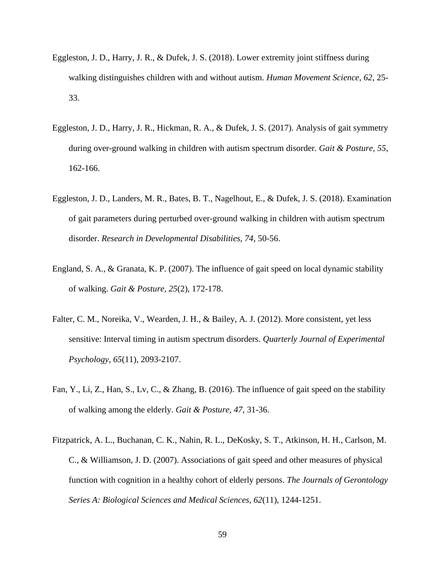- Eggleston, J. D., Harry, J. R., & Dufek, J. S. (2018). Lower extremity joint stiffness during walking distinguishes children with and without autism. *Human Movement Science, 62*, 25- 33.
- Eggleston, J. D., Harry, J. R., Hickman, R. A., & Dufek, J. S. (2017). Analysis of gait symmetry during over-ground walking in children with autism spectrum disorder. *Gait & Posture, 55*, 162-166.
- Eggleston, J. D., Landers, M. R., Bates, B. T., Nagelhout, E., & Dufek, J. S. (2018). Examination of gait parameters during perturbed over-ground walking in children with autism spectrum disorder. *Research in Developmental Disabilities, 74*, 50-56.
- England, S. A., & Granata, K. P. (2007). The influence of gait speed on local dynamic stability of walking. *Gait & Posture, 25*(2), 172-178.
- Falter, C. M., Noreika, V., Wearden, J. H., & Bailey, A. J. (2012). More consistent, yet less sensitive: Interval timing in autism spectrum disorders. *Quarterly Journal of Experimental Psychology, 65*(11), 2093-2107.
- Fan, Y., Li, Z., Han, S., Lv, C., & Zhang, B. (2016). The influence of gait speed on the stability of walking among the elderly. *Gait & Posture, 47*, 31-36.
- Fitzpatrick, A. L., Buchanan, C. K., Nahin, R. L., DeKosky, S. T., Atkinson, H. H., Carlson, M. C., & Williamson, J. D. (2007). Associations of gait speed and other measures of physical function with cognition in a healthy cohort of elderly persons. *The Journals of Gerontology Series A: Biological Sciences and Medical Sciences, 62*(11), 1244-1251.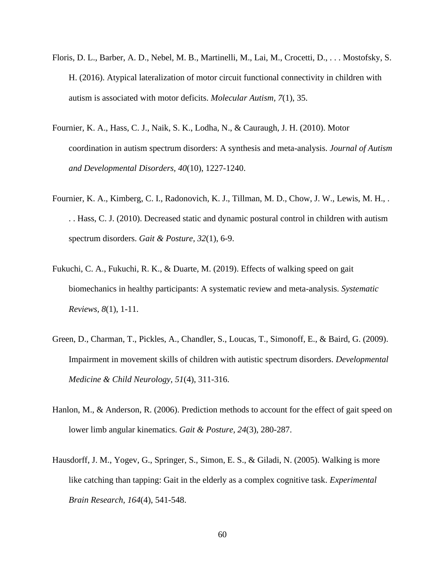- Floris, D. L., Barber, A. D., Nebel, M. B., Martinelli, M., Lai, M., Crocetti, D., . . . Mostofsky, S. H. (2016). Atypical lateralization of motor circuit functional connectivity in children with autism is associated with motor deficits. *Molecular Autism, 7*(1), 35.
- Fournier, K. A., Hass, C. J., Naik, S. K., Lodha, N., & Cauraugh, J. H. (2010). Motor coordination in autism spectrum disorders: A synthesis and meta-analysis. *Journal of Autism and Developmental Disorders, 40*(10), 1227-1240.
- Fournier, K. A., Kimberg, C. I., Radonovich, K. J., Tillman, M. D., Chow, J. W., Lewis, M. H., . . . Hass, C. J. (2010). Decreased static and dynamic postural control in children with autism spectrum disorders. *Gait & Posture, 32*(1), 6-9.
- Fukuchi, C. A., Fukuchi, R. K., & Duarte, M. (2019). Effects of walking speed on gait biomechanics in healthy participants: A systematic review and meta-analysis. *Systematic Reviews, 8*(1), 1-11.
- Green, D., Charman, T., Pickles, A., Chandler, S., Loucas, T., Simonoff, E., & Baird, G. (2009). Impairment in movement skills of children with autistic spectrum disorders. *Developmental Medicine & Child Neurology, 51*(4), 311-316.
- Hanlon, M., & Anderson, R. (2006). Prediction methods to account for the effect of gait speed on lower limb angular kinematics. *Gait & Posture, 24*(3), 280-287.
- Hausdorff, J. M., Yogev, G., Springer, S., Simon, E. S., & Giladi, N. (2005). Walking is more like catching than tapping: Gait in the elderly as a complex cognitive task. *Experimental Brain Research, 164*(4), 541-548.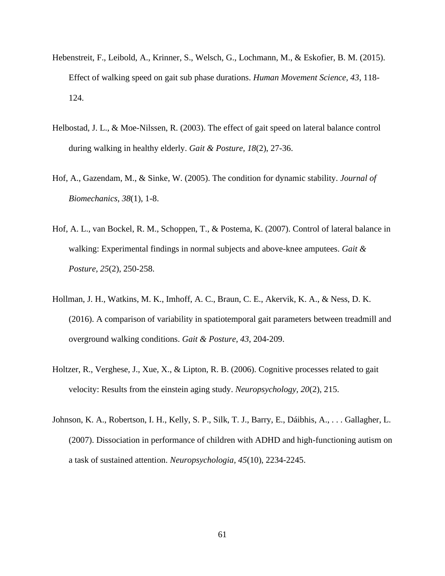- Hebenstreit, F., Leibold, A., Krinner, S., Welsch, G., Lochmann, M., & Eskofier, B. M. (2015). Effect of walking speed on gait sub phase durations. *Human Movement Science, 43*, 118- 124.
- Helbostad, J. L., & Moe-Nilssen, R. (2003). The effect of gait speed on lateral balance control during walking in healthy elderly. *Gait & Posture, 18*(2), 27-36.
- Hof, A., Gazendam, M., & Sinke, W. (2005). The condition for dynamic stability. *Journal of Biomechanics, 38*(1), 1-8.
- Hof, A. L., van Bockel, R. M., Schoppen, T., & Postema, K. (2007). Control of lateral balance in walking: Experimental findings in normal subjects and above-knee amputees. *Gait & Posture, 25*(2), 250-258.
- Hollman, J. H., Watkins, M. K., Imhoff, A. C., Braun, C. E., Akervik, K. A., & Ness, D. K. (2016). A comparison of variability in spatiotemporal gait parameters between treadmill and overground walking conditions. *Gait & Posture, 43*, 204-209.
- Holtzer, R., Verghese, J., Xue, X., & Lipton, R. B. (2006). Cognitive processes related to gait velocity: Results from the einstein aging study. *Neuropsychology, 20*(2), 215.
- Johnson, K. A., Robertson, I. H., Kelly, S. P., Silk, T. J., Barry, E., Dáibhis, A., . . . Gallagher, L. (2007). Dissociation in performance of children with ADHD and high-functioning autism on a task of sustained attention. *Neuropsychologia, 45*(10), 2234-2245.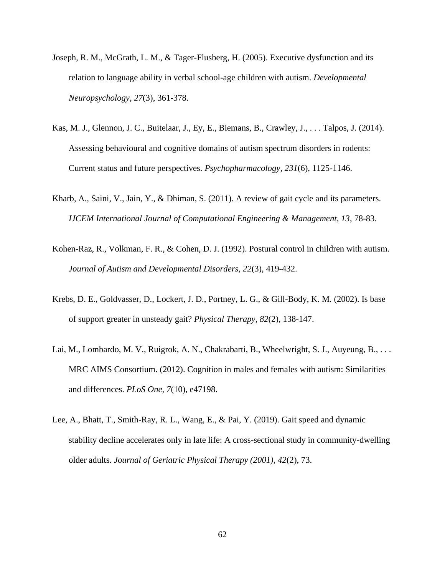- Joseph, R. M., McGrath, L. M., & Tager-Flusberg, H. (2005). Executive dysfunction and its relation to language ability in verbal school-age children with autism. *Developmental Neuropsychology, 27*(3), 361-378.
- Kas, M. J., Glennon, J. C., Buitelaar, J., Ey, E., Biemans, B., Crawley, J., . . . Talpos, J. (2014). Assessing behavioural and cognitive domains of autism spectrum disorders in rodents: Current status and future perspectives. *Psychopharmacology, 231*(6), 1125-1146.
- Kharb, A., Saini, V., Jain, Y., & Dhiman, S. (2011). A review of gait cycle and its parameters. *IJCEM International Journal of Computational Engineering & Management, 13*, 78-83.
- Kohen-Raz, R., Volkman, F. R., & Cohen, D. J. (1992). Postural control in children with autism. *Journal of Autism and Developmental Disorders, 22*(3), 419-432.
- Krebs, D. E., Goldvasser, D., Lockert, J. D., Portney, L. G., & Gill-Body, K. M. (2002). Is base of support greater in unsteady gait? *Physical Therapy, 82*(2), 138-147.
- Lai, M., Lombardo, M. V., Ruigrok, A. N., Chakrabarti, B., Wheelwright, S. J., Auyeung, B., . . . MRC AIMS Consortium. (2012). Cognition in males and females with autism: Similarities and differences. *PLoS One, 7*(10), e47198.
- Lee, A., Bhatt, T., Smith-Ray, R. L., Wang, E., & Pai, Y. (2019). Gait speed and dynamic stability decline accelerates only in late life: A cross-sectional study in community-dwelling older adults. *Journal of Geriatric Physical Therapy (2001), 42*(2), 73.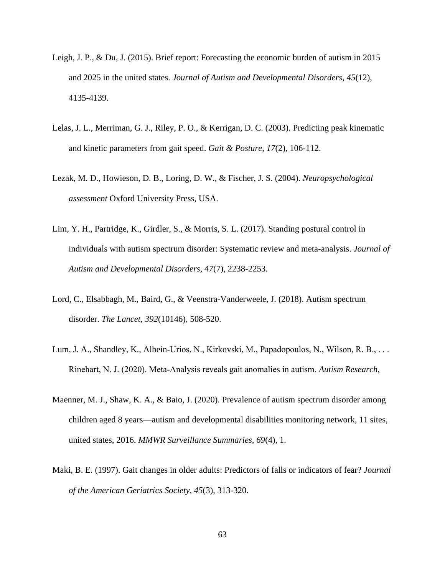- Leigh, J. P., & Du, J. (2015). Brief report: Forecasting the economic burden of autism in 2015 and 2025 in the united states. *Journal of Autism and Developmental Disorders, 45*(12), 4135-4139.
- Lelas, J. L., Merriman, G. J., Riley, P. O., & Kerrigan, D. C. (2003). Predicting peak kinematic and kinetic parameters from gait speed. *Gait & Posture, 17*(2), 106-112.
- Lezak, M. D., Howieson, D. B., Loring, D. W., & Fischer, J. S. (2004). *Neuropsychological assessment* Oxford University Press, USA.
- Lim, Y. H., Partridge, K., Girdler, S., & Morris, S. L. (2017). Standing postural control in individuals with autism spectrum disorder: Systematic review and meta-analysis. *Journal of Autism and Developmental Disorders, 47*(7), 2238-2253.
- Lord, C., Elsabbagh, M., Baird, G., & Veenstra-Vanderweele, J. (2018). Autism spectrum disorder. *The Lancet, 392*(10146), 508-520.
- Lum, J. A., Shandley, K., Albein‐Urios, N., Kirkovski, M., Papadopoulos, N., Wilson, R. B., . . . Rinehart, N. J. (2020). Meta‐Analysis reveals gait anomalies in autism. *Autism Research,*
- Maenner, M. J., Shaw, K. A., & Baio, J. (2020). Prevalence of autism spectrum disorder among children aged 8 years—autism and developmental disabilities monitoring network, 11 sites, united states, 2016. *MMWR Surveillance Summaries, 69*(4), 1.
- Maki, B. E. (1997). Gait changes in older adults: Predictors of falls or indicators of fear? *Journal of the American Geriatrics Society, 45*(3), 313-320.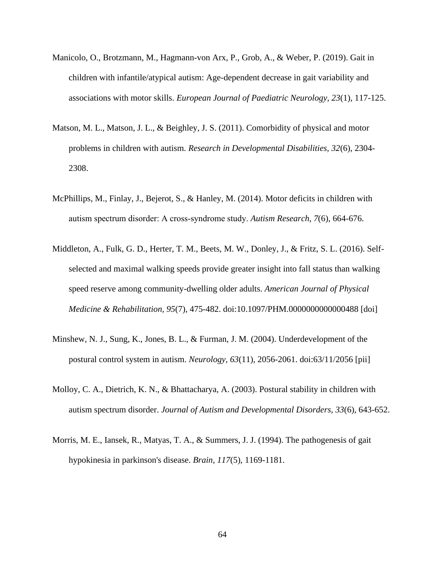- Manicolo, O., Brotzmann, M., Hagmann-von Arx, P., Grob, A., & Weber, P. (2019). Gait in children with infantile/atypical autism: Age-dependent decrease in gait variability and associations with motor skills. *European Journal of Paediatric Neurology, 23*(1), 117-125.
- Matson, M. L., Matson, J. L., & Beighley, J. S. (2011). Comorbidity of physical and motor problems in children with autism. *Research in Developmental Disabilities, 32*(6), 2304- 2308.
- McPhillips, M., Finlay, J., Bejerot, S., & Hanley, M. (2014). Motor deficits in children with autism spectrum disorder: A cross‐syndrome study. *Autism Research, 7*(6), 664-676.
- Middleton, A., Fulk, G. D., Herter, T. M., Beets, M. W., Donley, J., & Fritz, S. L. (2016). Selfselected and maximal walking speeds provide greater insight into fall status than walking speed reserve among community-dwelling older adults. *American Journal of Physical Medicine & Rehabilitation, 95*(7), 475-482. doi:10.1097/PHM.0000000000000488 [doi]
- Minshew, N. J., Sung, K., Jones, B. L., & Furman, J. M. (2004). Underdevelopment of the postural control system in autism. *Neurology, 63*(11), 2056-2061. doi:63/11/2056 [pii]
- Molloy, C. A., Dietrich, K. N., & Bhattacharya, A. (2003). Postural stability in children with autism spectrum disorder. *Journal of Autism and Developmental Disorders, 33*(6), 643-652.
- Morris, M. E., Iansek, R., Matyas, T. A., & Summers, J. J. (1994). The pathogenesis of gait hypokinesia in parkinson's disease. *Brain, 117*(5), 1169-1181.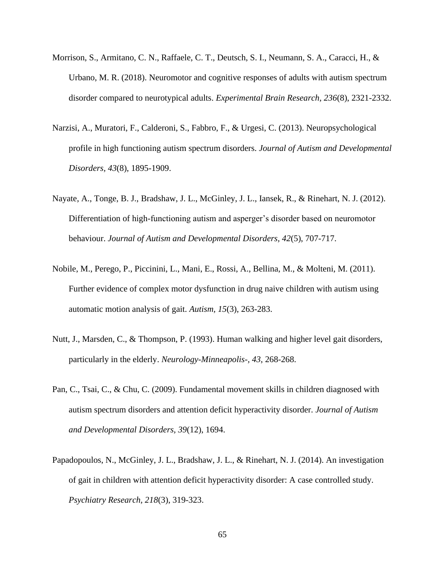- Morrison, S., Armitano, C. N., Raffaele, C. T., Deutsch, S. I., Neumann, S. A., Caracci, H., & Urbano, M. R. (2018). Neuromotor and cognitive responses of adults with autism spectrum disorder compared to neurotypical adults. *Experimental Brain Research, 236*(8), 2321-2332.
- Narzisi, A., Muratori, F., Calderoni, S., Fabbro, F., & Urgesi, C. (2013). Neuropsychological profile in high functioning autism spectrum disorders. *Journal of Autism and Developmental Disorders, 43*(8), 1895-1909.
- Nayate, A., Tonge, B. J., Bradshaw, J. L., McGinley, J. L., Iansek, R., & Rinehart, N. J. (2012). Differentiation of high-functioning autism and asperger's disorder based on neuromotor behaviour. *Journal of Autism and Developmental Disorders, 42*(5), 707-717.
- Nobile, M., Perego, P., Piccinini, L., Mani, E., Rossi, A., Bellina, M., & Molteni, M. (2011). Further evidence of complex motor dysfunction in drug naive children with autism using automatic motion analysis of gait. *Autism, 15*(3), 263-283.
- Nutt, J., Marsden, C., & Thompson, P. (1993). Human walking and higher level gait disorders, particularly in the elderly. *Neurology-Minneapolis-, 43*, 268-268.
- Pan, C., Tsai, C., & Chu, C. (2009). Fundamental movement skills in children diagnosed with autism spectrum disorders and attention deficit hyperactivity disorder. *Journal of Autism and Developmental Disorders, 39*(12), 1694.
- Papadopoulos, N., McGinley, J. L., Bradshaw, J. L., & Rinehart, N. J. (2014). An investigation of gait in children with attention deficit hyperactivity disorder: A case controlled study. *Psychiatry Research, 218*(3), 319-323.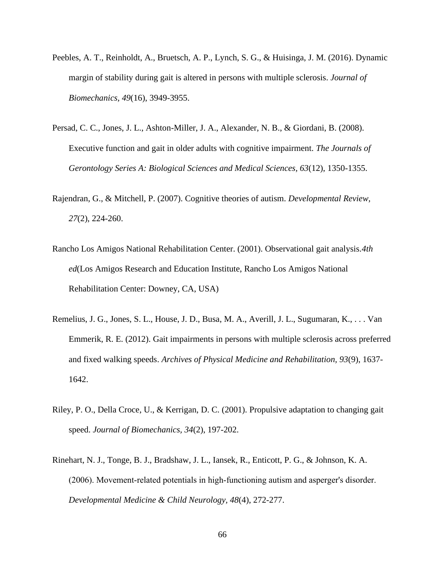- Peebles, A. T., Reinholdt, A., Bruetsch, A. P., Lynch, S. G., & Huisinga, J. M. (2016). Dynamic margin of stability during gait is altered in persons with multiple sclerosis. *Journal of Biomechanics, 49*(16), 3949-3955.
- Persad, C. C., Jones, J. L., Ashton-Miller, J. A., Alexander, N. B., & Giordani, B. (2008). Executive function and gait in older adults with cognitive impairment. *The Journals of Gerontology Series A: Biological Sciences and Medical Sciences, 63*(12), 1350-1355.
- Rajendran, G., & Mitchell, P. (2007). Cognitive theories of autism. *Developmental Review, 27*(2), 224-260.
- Rancho Los Amigos National Rehabilitation Center. (2001). Observational gait analysis.*4th ed*(Los Amigos Research and Education Institute, Rancho Los Amigos National Rehabilitation Center: Downey, CA, USA)
- Remelius, J. G., Jones, S. L., House, J. D., Busa, M. A., Averill, J. L., Sugumaran, K., . . . Van Emmerik, R. E. (2012). Gait impairments in persons with multiple sclerosis across preferred and fixed walking speeds. *Archives of Physical Medicine and Rehabilitation, 93*(9), 1637- 1642.
- Riley, P. O., Della Croce, U., & Kerrigan, D. C. (2001). Propulsive adaptation to changing gait speed. *Journal of Biomechanics, 34*(2), 197-202.
- Rinehart, N. J., Tonge, B. J., Bradshaw, J. L., Iansek, R., Enticott, P. G., & Johnson, K. A. (2006). Movement‐related potentials in high‐functioning autism and asperger's disorder. *Developmental Medicine & Child Neurology, 48*(4), 272-277.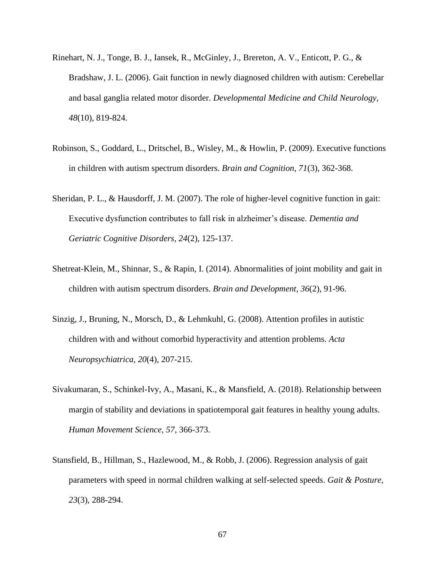- Rinehart, N. J., Tonge, B. J., Iansek, R., McGinley, J., Brereton, A. V., Enticott, P. G., & Bradshaw, J. L. (2006). Gait function in newly diagnosed children with autism: Cerebellar and basal ganglia related motor disorder. *Developmental Medicine and Child Neurology, 48*(10), 819-824.
- Robinson, S., Goddard, L., Dritschel, B., Wisley, M., & Howlin, P. (2009). Executive functions in children with autism spectrum disorders. *Brain and Cognition, 71*(3), 362-368.
- Sheridan, P. L., & Hausdorff, J. M. (2007). The role of higher-level cognitive function in gait: Executive dysfunction contributes to fall risk in alzheimer's disease. *Dementia and Geriatric Cognitive Disorders, 24*(2), 125-137.
- Shetreat-Klein, M., Shinnar, S., & Rapin, I. (2014). Abnormalities of joint mobility and gait in children with autism spectrum disorders. *Brain and Development, 36*(2), 91-96.
- Sinzig, J., Bruning, N., Morsch, D., & Lehmkuhl, G. (2008). Attention profiles in autistic children with and without comorbid hyperactivity and attention problems. *Acta Neuropsychiatrica, 20*(4), 207-215.
- Sivakumaran, S., Schinkel-Ivy, A., Masani, K., & Mansfield, A. (2018). Relationship between margin of stability and deviations in spatiotemporal gait features in healthy young adults. *Human Movement Science, 57*, 366-373.
- Stansfield, B., Hillman, S., Hazlewood, M., & Robb, J. (2006). Regression analysis of gait parameters with speed in normal children walking at self-selected speeds. *Gait & Posture, 23*(3), 288-294.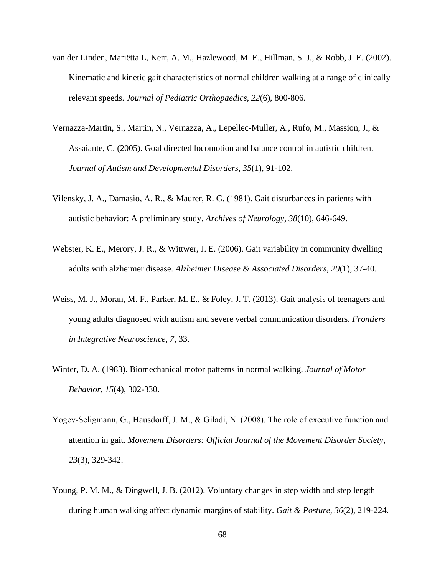- van der Linden, Mariëtta L, Kerr, A. M., Hazlewood, M. E., Hillman, S. J., & Robb, J. E. (2002). Kinematic and kinetic gait characteristics of normal children walking at a range of clinically relevant speeds. *Journal of Pediatric Orthopaedics, 22*(6), 800-806.
- Vernazza-Martin, S., Martin, N., Vernazza, A., Lepellec-Muller, A., Rufo, M., Massion, J., & Assaiante, C. (2005). Goal directed locomotion and balance control in autistic children. *Journal of Autism and Developmental Disorders, 35*(1), 91-102.
- Vilensky, J. A., Damasio, A. R., & Maurer, R. G. (1981). Gait disturbances in patients with autistic behavior: A preliminary study. *Archives of Neurology, 38*(10), 646-649.
- Webster, K. E., Merory, J. R., & Wittwer, J. E. (2006). Gait variability in community dwelling adults with alzheimer disease. *Alzheimer Disease & Associated Disorders, 20*(1), 37-40.
- Weiss, M. J., Moran, M. F., Parker, M. E., & Foley, J. T. (2013). Gait analysis of teenagers and young adults diagnosed with autism and severe verbal communication disorders. *Frontiers in Integrative Neuroscience, 7*, 33.
- Winter, D. A. (1983). Biomechanical motor patterns in normal walking. *Journal of Motor Behavior, 15*(4), 302-330.
- Yogev-Seligmann, G., Hausdorff, J. M., & Giladi, N. (2008). The role of executive function and attention in gait. *Movement Disorders: Official Journal of the Movement Disorder Society, 23*(3), 329-342.
- Young, P. M. M., & Dingwell, J. B. (2012). Voluntary changes in step width and step length during human walking affect dynamic margins of stability. *Gait & Posture, 36*(2), 219-224.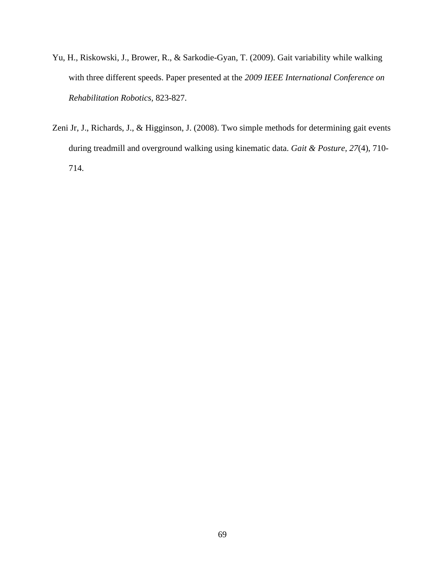- Yu, H., Riskowski, J., Brower, R., & Sarkodie-Gyan, T. (2009). Gait variability while walking with three different speeds. Paper presented at the *2009 IEEE International Conference on Rehabilitation Robotics,* 823-827.
- Zeni Jr, J., Richards, J., & Higginson, J. (2008). Two simple methods for determining gait events during treadmill and overground walking using kinematic data. *Gait & Posture, 27*(4), 710- 714.